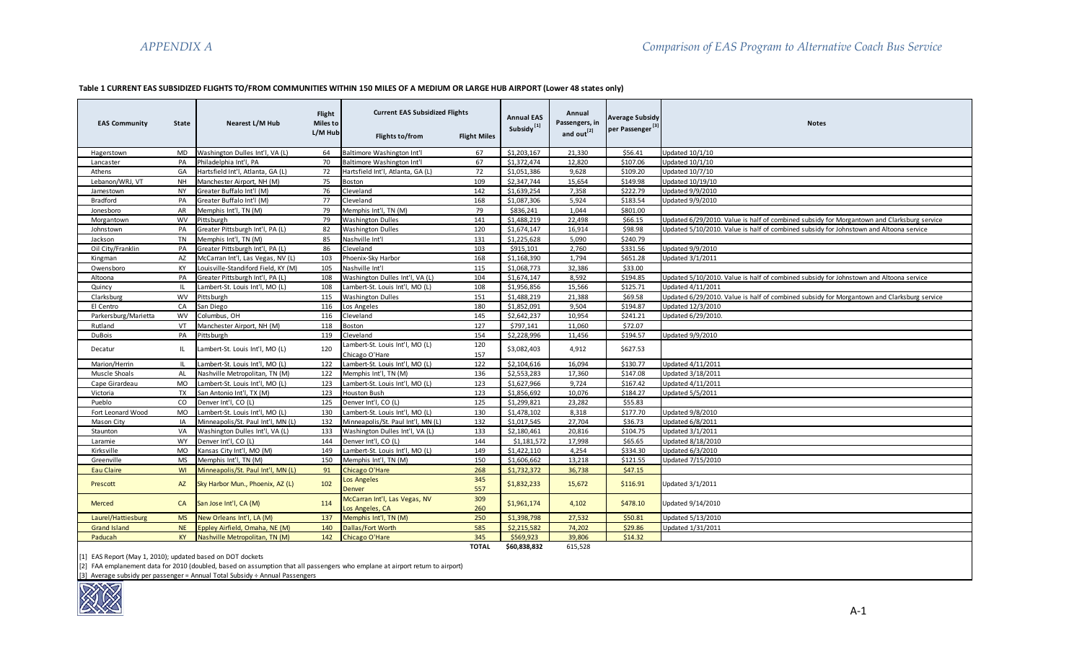# **Table 1 CURRENT EAS SUBSIDIZED FLIGHTS TO/FROM COMMUNITIES WITHIN 150 MILES OF A MEDIUM OR LARGE HUB AIRPORT (Lower 48 states only)**

|                      |              |                                     | Flight                     | <b>Current EAS Subsidized Flights</b> |                     | <b>Annual EAS</b>      | Annual                                   | <b>Average Subsidy</b>      |                                                                                            |
|----------------------|--------------|-------------------------------------|----------------------------|---------------------------------------|---------------------|------------------------|------------------------------------------|-----------------------------|--------------------------------------------------------------------------------------------|
| <b>EAS Community</b> | <b>State</b> | Nearest L/M Hub                     | <b>Miles to</b><br>L/M Hub | Flights to/from                       | <b>Flight Miles</b> | Subsidy <sup>[1]</sup> | Passengers, in<br>and out <sup>[2]</sup> | per Passenger <sup>[3</sup> | <b>Notes</b>                                                                               |
| Hagerstown           | MD           | Washington Dulles Int'l, VA (L)     | 64                         | Baltimore Washington Int'l            | 67                  | \$1,203,167            | 21,330                                   | \$56.41                     | <b>Updated 10/1/10</b>                                                                     |
| Lancaster            | PA           | Philadelphia Int'l, PA              | 70                         | Baltimore Washington Int'l            | 67                  | \$1,372,474            | 12,820                                   | \$107.06                    | Updated 10/1/10                                                                            |
| Athens               | GA           | Hartsfield Int'l, Atlanta, GA (L)   | 72                         | Hartsfield Int'l, Atlanta, GA (L)     | 72                  | \$1.051.386            | 9.628                                    | \$109.20                    | <b>Updated 10/7/10</b>                                                                     |
| Lebanon/WRJ, VT      | <b>NH</b>    | Manchester Airport, NH (M)          | 75                         | Boston                                | 109                 | \$2,347,744            | 15,654                                   | \$149.98                    | Updated 10/19/10                                                                           |
| Jamestown            | <b>NY</b>    | Greater Buffalo Int'l (M)           | 76                         | Cleveland                             | 142                 | \$1,639,254            | 7,358                                    | \$222.79                    | Updated 9/9/2010                                                                           |
| <b>Bradford</b>      | PA           | Greater Buffalo Int'l (M)           | 77                         | Cleveland                             | 168                 | \$1,087,306            | 5,924                                    | \$183.54                    | <b>Updated 9/9/2010</b>                                                                    |
| Jonesboro            | AR           | Memphis Int'l, TN (M)               | 79                         | Memphis Int'l, TN (M)                 | 79                  | \$836,241              | 1,044                                    | \$801.00                    |                                                                                            |
| Morgantown           | <b>WV</b>    | Pittsburgh                          | 79                         | <b>Washington Dulles</b>              | 141                 | \$1,488,219            | 22,498                                   | \$66.15                     | Updated 6/29/2010. Value is half of combined subsidy for Morgantown and Clarksburg service |
| Johnstown            | PA           | Greater Pittsburgh Int'l, PA (L)    | 82                         | <b>Washington Dulles</b>              | 120                 | \$1,674,147            | 16,914                                   | \$98.98                     | Updated 5/10/2010. Value is half of combined subsidy for Johnstown and Altoona service     |
| Jackson              | TN           | Memphis Int'l, TN (M)               | 85                         | Nashville Int'l                       | 131                 | \$1,225,628            | 5,090                                    | \$240.79                    |                                                                                            |
| Oil City/Franklin    | PA           | Greater Pittsburgh Int'l, PA (L)    | 86                         | Cleveland                             | 103                 | \$915,101              | 2,760                                    | \$331.56                    | Updated 9/9/2010                                                                           |
| Kingman              | AZ           | McCarran Int'l, Las Vegas, NV (L)   | 103                        | Phoenix-Sky Harbor                    | 168                 | \$1,168,390            | 1,794                                    | \$651.28                    | <b>Updated 3/1/2011</b>                                                                    |
| Owensboro            | KY           | Louisville-Standiford Field, KY (M) | 105                        | Nashville Int'l                       | 115                 | \$1,068,773            | 32,386                                   | \$33.00                     |                                                                                            |
| Altoona              | PA           | Greater Pittsburgh Int'l, PA (L)    | 108                        | Washington Dulles Int'l, VA (L)       | 104                 | \$1,674,147            | 8,592                                    | \$194.85                    | Updated 5/10/2010. Value is half of combined subsidy for Johnstown and Altoona service     |
| Quincy               | -IL          | Lambert-St. Louis Int'l, MO (L)     | 108                        | Lambert-St. Louis Int'l. MO (L)       | 108                 | \$1,956,856            | 15,566                                   | \$125.71                    | Updated 4/11/2011                                                                          |
| Clarksburg           | <b>WV</b>    | Pittsburgh                          | 115                        | <b>Washington Dulles</b>              | 151                 | \$1,488,219            | 21,388                                   | \$69.58                     | Updated 6/29/2010. Value is half of combined subsidy for Morgantown and Clarksburg service |
| El Centro            | CA           | San Diego                           | 116                        | Los Angeles                           | 180                 | \$1,852,091            | 9,504                                    | \$194.87                    | Updated 12/3/2010                                                                          |
| Parkersburg/Marietta | <b>WV</b>    | Columbus, OH                        | 116                        | Cleveland                             | 145                 | \$2.642.237            | 10,954                                   | \$241.21                    | Updated 6/29/2010.                                                                         |
| Rutland              | VT           | Manchester Airport, NH (M)          | 118                        | <b>Boston</b>                         | 127                 | \$797,141              | 11,060                                   | \$72.07                     |                                                                                            |
| <b>DuBois</b>        | PA           | Pittsburgh                          | 119                        | Cleveland                             | 154                 | \$2,228,996            | 11,456                                   | \$194.57                    | Updated 9/9/2010                                                                           |
| Decatur              | IL.          | Lambert-St. Louis Int'l, MO (L)     | 120                        | Lambert-St. Louis Int'l, MO (L)       | 120                 | \$3,082,403            | 4,912                                    | \$627.53                    |                                                                                            |
|                      |              |                                     |                            | Chicago O'Hare                        | 157                 |                        |                                          |                             |                                                                                            |
| Marion/Herrin        | IL           | Lambert-St. Louis Int'l, MO (L)     | 122                        | Lambert-St. Louis Int'l, MO (L)       | 122                 | \$2,104,616            | 16,094                                   | \$130.77                    | Updated 4/11/2011                                                                          |
| Muscle Shoals        | AL           | Nashville Metropolitan, TN (M)      | 122                        | Memphis Int'l, TN (M)                 | 136                 | \$2,553,283            | 17,360                                   | \$147.08                    | <b>Updated 3/18/2011</b>                                                                   |
| Cape Girardeau       | <b>MO</b>    | Lambert-St. Louis Int'l, MO (L)     | 123                        | Lambert-St. Louis Int'l, MO (L)       | 123                 | \$1,627,966            | 9.724                                    | \$167.42                    | Updated 4/11/2011                                                                          |
| Victoria             | TX           | San Antonio Int'l, TX (M)           | 123                        | Houston Bush                          | 123                 | \$1,856,692            | 10,076                                   | \$184.27                    | <b>Updated 5/5/2011</b>                                                                    |
| Pueblo               | CO           | Denver Int'l. CO (L)                | 125                        | Denver Int'l, CO (L)                  | 125                 | \$1,299,821            | 23,282                                   | \$55.83                     |                                                                                            |
| Fort Leonard Wood    | <b>MO</b>    | Lambert-St. Louis Int'l, MO (L)     | 130                        | Lambert-St. Louis Int'l. MO (L)       | 130                 | \$1,478,102            | 8.318                                    | \$177.70                    | Updated 9/8/2010                                                                           |
| Mason City           | IA           | Minneapolis/St. Paul Int'l, MN (L)  | 132                        | Minneapolis/St. Paul Int'l, MN (L)    | 132                 | \$1,017,545            | 27,704                                   | \$36.73                     | Updated 6/8/2011                                                                           |
| Staunton             | VA           | Washington Dulles Int'l, VA (L)     | 133                        | Washington Dulles Int'l, VA (L)       | 133                 | \$2,180,461            | 20,816                                   | \$104.75                    | Updated 3/1/2011                                                                           |
| Laramie              | <b>WY</b>    | Denver Int'l, CO (L)                | 144                        | Denver Int'l, CO (L)                  | 144                 | \$1,181,572            | 17,998                                   | \$65.65                     | Updated 8/18/2010                                                                          |
| Kirksville           | <b>MO</b>    | Kansas City Int'l, MO (M)           | 149                        | Lambert-St. Louis Int'l, MO (L)       | 149                 | \$1.422.110            | 4.254                                    | \$334.30                    | Updated 6/3/2010                                                                           |
| Greenville           | <b>MS</b>    | Memphis Int'l, TN (M)               | 150                        | Memphis Int'l, TN (M)                 | 150                 | \$1,606,662            | 13,218                                   | \$121.55                    | Updated 7/15/2010                                                                          |
| <b>Eau Claire</b>    | WI           | Minneapolis/St. Paul Int'l, MN (L)  | 91                         | Chicago O'Hare                        | 268                 | \$1,732,372            | 36,738                                   | \$47.15                     |                                                                                            |
| Prescott             | AZ           | Sky Harbor Mun., Phoenix, AZ (L)    | 102                        | Los Angeles                           | 345                 | \$1,832,233            | 15,672                                   | \$116.91                    | Updated 3/1/2011                                                                           |
|                      |              |                                     |                            | Denver                                | 557                 |                        |                                          |                             |                                                                                            |
|                      |              |                                     |                            | McCarran Int'l, Las Vegas, NV         | 309                 |                        |                                          |                             |                                                                                            |
| Merced               | CA           | San Jose Int'l, CA (M)              | 114                        | Los Angeles, CA                       | 260                 | \$1,961,174            | 4,102                                    | \$478.10                    | Updated 9/14/2010                                                                          |
| Laurel/Hattiesburg   | <b>MS</b>    | New Orleans Int'l, LA (M)           | 137                        | Memphis Int'l, TN (M)                 | 250                 | \$1,398,798            | 27,532                                   | \$50.81                     | Updated 5/13/2010                                                                          |
| <b>Grand Island</b>  | <b>NE</b>    | Eppley Airfield, Omaha, NE (M)      | 140                        | Dallas/Fort Worth                     | 585                 | \$2,215,582            | 74,202                                   | \$29.86                     | Updated 1/31/2011                                                                          |
| Paducah              | <b>KY</b>    | Nashville Metropolitan, TN (M)      | 142                        | Chicago O'Hare                        | 345                 | \$569,923              | 39,806                                   | \$14.32                     |                                                                                            |
|                      |              |                                     |                            |                                       | <b>TOTAL</b>        | \$60,838,832           | 615.528                                  |                             |                                                                                            |

[1] EAS Report (May 1, 2010); updated based on DOT dockets

[2] FAA emplanement data for 2010 (doubled, based on assumption that all passengers who emplane at airport return to airport)

[3] Average subsidy per passenger = Annual Total Subsidy ÷ Annual Passengers

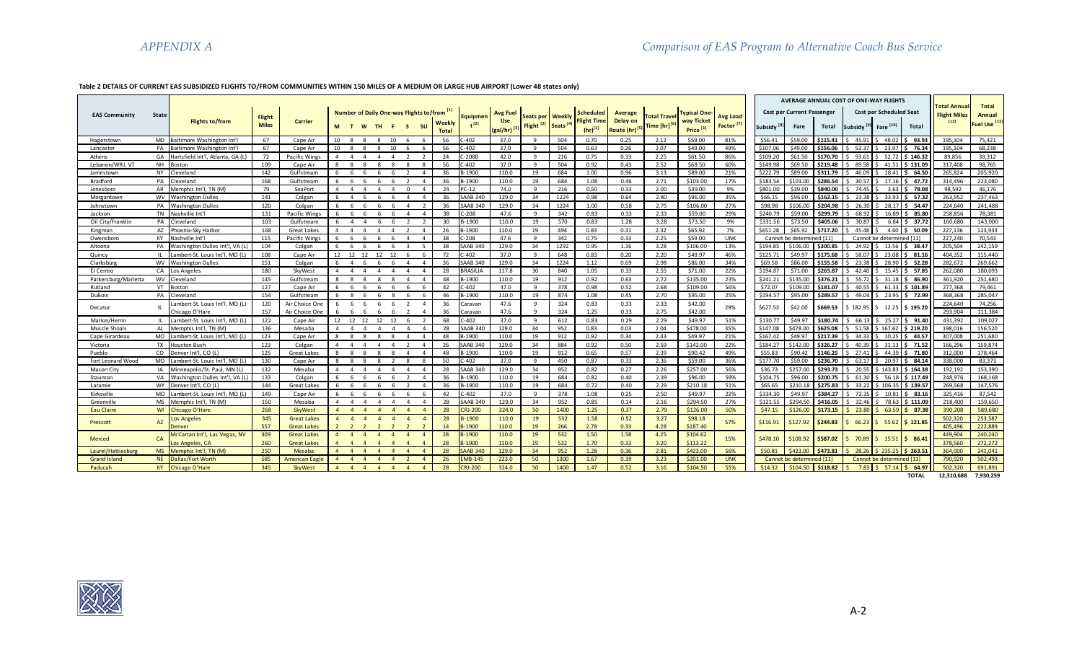#### **Table 2 DETAILS OF CURRENT EAS SUBSIDIZED FLIGHTS TO/FROM COMMUNITIES WITHIN 150 MILES OF A MEDIUM OR LARGE HUB AIRPORT (Lower 48 states only)**

|                      |              |                                      |               |                    |                |                                  |                                  |                                  |                        |                                                       |                 |                               |                       |                    |                          |                           |                    |                           |                      |          | Cost per Current Passenger |          | AVERAGE ANNUAL COST OF ONE-WAY FLIGHTS | Cost per Scheduled Seat                  |                         | <b>Total Annua</b>            | <b>Total</b>                       |
|----------------------|--------------|--------------------------------------|---------------|--------------------|----------------|----------------------------------|----------------------------------|----------------------------------|------------------------|-------------------------------------------------------|-----------------|-------------------------------|-----------------------|--------------------|--------------------------|---------------------------|--------------------|---------------------------|----------------------|----------|----------------------------|----------|----------------------------------------|------------------------------------------|-------------------------|-------------------------------|------------------------------------|
| <b>EAS Community</b> | <b>State</b> | Flights to/from                      | <b>Flight</b> | Carrier            |                |                                  |                                  |                                  |                        | Number of Daily One-way Flights to/from [1]<br>Weekly | Equipmen        | <b>Avg Fuel</b><br><b>Use</b> | Seats per             | Weekl              | Scheduled<br>Flight Time | Average<br>Delay on       | <b>Total Trave</b> | vpical One-<br>way Ticket | Avg Load             |          |                            |          |                                        |                                          |                         | <b>Flight Miles</b><br>$[12]$ | Annual<br>Fuel Use <sup>[13]</sup> |
|                      |              |                                      | <b>Miles</b>  |                    | м              | W<br>$\mathbf{T}$                | TH.                              | - S                              | <b>SU</b>              | <b>Total</b>                                          | $+^{[2]}$       | (gal/hr)                      | Flight <sup>[2]</sup> | Seats <sup>1</sup> | $(hr)^{[1]}$             | Route (hr) <sup>[5]</sup> | Time [hr]          | Price <sup>[1]</sup>      | Factor <sup>[7</sup> | Subsidy  | Fare                       | Total    | Subsidy <sup>[9]</sup>                 | Fare <sup>[10]</sup>                     | Total                   |                               |                                    |
| Hagerstown           | <b>MD</b>    | Baltimore Washington Int'l           | 67            | Cape Air           | $10 \quad 8$   | -8                               | -8                               | 10<br>6                          | -6                     | -56                                                   | $-402$          | 37.0                          | <b>Q</b>              | 504                | 0.70                     | 0.25                      | 2.12               | \$59.00                   | 81%                  | \$56.41  | \$59.00                    | \$115.41 | 45.91                                  |                                          | 48.02 \$ 93.93          | 195,104                       | 75.421                             |
| Lancaster            | PA           | Baltimore Washington Int'l           | 67            | Cape Air           | 10             | $\mathbf{R}$<br>-8               | 8                                | 10<br>6                          | -6                     | 56                                                    | $-402$          | 37.0                          | $\mathbf{q}$          | 504                | 0.63                     | 0.26                      | 2.07               | \$49.00                   | 49%                  | \$107.06 | \$49.00                    | \$156.06 | $52.37$ \$                             | 23.97                                    | \$76.34                 | 195,104                       | 68,238                             |
| Athens               | GA           | Hartsfield Int'l. Atlanta. GA (L)    | 72            | Pacific Wings      | $\overline{4}$ | $\overline{4}$<br>$\overline{4}$ | $\overline{4}$<br>$\overline{4}$ | 2                                | $\overline{2}$         | 24                                                    | C-208B          | 42.0                          | -9                    | 216                | 0.75                     | 0.33                      | 2.25               | \$61.50                   | 86%                  | \$109.20 | \$61.50                    | \$170.70 |                                        | $93.61$   \$ 52.72   \$ 146.32           |                         | 89.856                        | 39.312                             |
| Lebanon/WRJ, VT      | <b>NH</b>    | Boston                               | 109           | Cape Air           |                | $\mathbf{R}$<br>$\mathbf{R}$     | 8                                | $\mathbf{R}$<br>8                | 8                      | 56                                                    | $-402$          | 37.0                          | $\mathbf{q}$          | 504                | 0.92                     | 0.43                      | 2.52               | \$69.50                   | 60%                  | \$149.98 | \$69.50                    | \$219.48 | $89.58$ $\overline{\phantom{0}}$       |                                          | $41.51$ \$ 131.09       | 317,408                       | 98,765                             |
| Jamestown            | <b>NY</b>    | Cleveland                            | 142           | Gulfstream         | 6              | 6<br>$6\overline{6}$             | - 6                              | 6<br>$\overline{2}$              | $\overline{4}$         | 36                                                    | B-1900          | 110.0                         | 19                    | 684                | 1.00                     | 0.96                      | 3.13               | \$89.00                   | 21%                  | \$222.79 | \$89.00                    | \$311.79 |                                        | $46.09$   \$ $18.41$   \$ 64.50          |                         | 265,824                       | 205.920                            |
| Bradford             | PA           | Cleveland                            | 168           | Gulfstream         | 6              | -6<br>-6                         | 6                                | 6<br>$\overline{2}$              | $\overline{4}$         | 36                                                    | B-1900          | 110.0                         | 19                    | 684                | 1.08                     | 0.46                      | 2.71               | \$103.00                  | 17%                  | \$183.54 | \$103.00                   | \$286.54 |                                        | $30.57$ \$ 17.16 \$ 47.72                |                         | 314.496                       | 223,080                            |
| Jonesboro            | AR           | Memphis Int'l, TN (M)                | 79            | SeaPort            | $\overline{4}$ | $\overline{4}$<br>$\overline{4}$ | $\overline{4}$<br>$\overline{4}$ | $\overline{0}$                   | $\overline{4}$         | 24                                                    | PC-12           | 74.0                          | -9                    | 216                | 0.50                     | 0.33                      | 2.00               | \$39.00                   | 9%                   | \$801.00 | \$39.00                    | \$840.00 | 74.45 S                                |                                          | 3.63 S 78.08            | 98,592                        | 46,176                             |
| Morgantown           | <b>WV</b>    | <b>Washington Dulles</b>             | 141           | Colgan             |                | $\overline{4}$<br>- 6            | -6                               | -6<br>$\overline{4}$             | $\overline{4}$         | 36                                                    | <b>SAAB 340</b> | 129.0                         | 34                    | 1224               | 0.98                     | 0.64                      | 2.80               | \$96.00                   | 35%                  | \$66.15  | \$96.00                    | \$162.15 |                                        | $23.38$   \$ $33.93$   \$ 57.32          |                         | 263,952                       | 237,463                            |
| Johnstown            | PA           | <b>Washington Dulles</b>             | 120           | Colgan             | 6              | - 6<br>-6                        | 6                                | 6<br>$\overline{4}$              | $\overline{2}$         | 36                                                    | <b>SAAB 340</b> | 129.0                         | 34                    | 1224               | 1.00                     | 0.58                      | 2.75               | \$106.00                  | 27%                  | \$98.98  | \$106.00                   | \$204.98 |                                        | $26.30 \mid \xi$ 28.17 $\mid \xi$ 54.47  |                         | 224,640                       | 241,488                            |
| Jackson              | TN           | Nashville Int'                       | 131           | Pacific Wings      | 6              | - 6<br>-6                        | 6                                | $\Delta$<br>-6                   | $\Delta$               | 38                                                    | $-208$          | 47.6                          | $\mathbf{q}$          | 342                | 0.83                     | 0.33                      | 2.33               | \$59.00                   | 29%                  | \$240.79 | \$59.00                    | \$299.79 | $68.92$ \$                             |                                          | $16.89$ \$ 85.80        | 258.856                       | 78.381                             |
| Oil City/Franklin    | PA           | Cleveland                            | 103           | Gulfstream         | 6              | $\overline{4}$<br>$\overline{4}$ | 6                                | 6<br>$\mathcal{P}$               | $\overline{2}$         | 30                                                    | 3-1900          | 110.0                         | 19                    | 570                | 0.83                     | 1.28                      | 3.28               | \$73.50                   | 9%                   | \$331.56 | \$73.50                    | \$405.06 | $30.87$ \$                             |                                          | $6.84$ \$ 37.72         | 160,680                       | 143,000                            |
| Kingman              | AZ           | Phoenix-Sky Harbor                   | 168           | <b>Great Lakes</b> | 4              | $\overline{4}$<br>$\overline{4}$ | $\overline{4}$                   | $\overline{2}$<br>$\overline{4}$ | $\overline{a}$         | 26                                                    | B-1900          | 110.0                         | 19                    | 494                | 0.83                     | 0.31                      | 2.32               | \$65.92                   | 7%                   | \$651.28 | \$65.92                    | \$717.20 | $45.48 \,$ \$                          |                                          | 4.60 $\vert$ \$ 50.09   | 227,136                       | 123.933                            |
| Owensboro            | KY           | Nashville Int'                       | 115           | Pacific Wings      | 6              | -6<br>6                          | -6                               | -6<br>$\Delta$                   | $\Delta$               | 38                                                    | $-208$          | 47.6                          | $\mathbf{q}$          | 342                | 0.75                     | 0.33                      | 2.25               | \$59.00                   | <b>UNK</b>           |          | Cannot be determined [11]  |          |                                        | Cannot be determined [11]                |                         | 227,240                       | 70,543                             |
| Altoona              | PA           | Washington Dulles Int'l, VA (L)      | 104           | Colgan             |                | -6<br>6                          | 6                                | $\mathbf{R}$<br>-6               | -5                     | 38                                                    | <b>SAAB 340</b> | 129.0                         | 34                    | 1292               | 0.95                     | 1.16                      | 3.28               | \$106.00                  | 13%                  | \$194.85 | \$106.00                   | \$300.85 | $24.92 \quad$ \$                       |                                          | $13.56$ $\mid$ \$ 38.47 | 205,504                       | 242,159                            |
| Quincy               | - IL         | ambert-St. Louis Int'l. MO (L)       | 108           | Cape Air           |                |                                  | 12   12   12   12   12           | 6                                | -6                     | 72                                                    | $-402$          | 37.0                          | $\mathbf{q}$          | 648                | 0.83                     | 0.20                      | 2.20               | \$49.97                   | 46%                  | \$125.71 | \$49.97                    | \$175.68 |                                        | $58.07 \mid \xi$ 23.08 $\mid \xi$ 81.16  |                         | 404,352                       | 115,440                            |
| Clarksburg           | <b>WV</b>    | <b>Washington Dulles</b>             | 151           | Colgan             | 6              | $\overline{4}$<br>- 6            | 6                                | 6<br>$\overline{4}$              | - 4                    | 36                                                    | <b>SAAB 340</b> | 129.0                         | 34                    | 1224               | 1.12                     | 0.69                      | 2.98               | \$86.00                   | 34%                  | \$69.58  | \$86.00                    | \$155.58 | $23.38$ \$                             | 28.90                                    | 52.28                   | 282,672                       | 269,662                            |
| El Centro            | CA           | Los Angeles                          | 180           | SkyWest            | $\overline{4}$ | $\overline{4}$<br>$\overline{4}$ | $\overline{4}$<br>$\overline{4}$ | $\overline{4}$                   | $\overline{4}$         | 28                                                    | <b>BRASILIA</b> | 117.8                         | 30                    | 840                | 1.05                     | 0.33                      | 2.55               | \$71.00                   | 22%                  | \$194.87 | \$71.00                    | \$265.87 |                                        | $42.40 \mid S$ 15.45 $\mid S$ 57.85      |                         | 262,080                       | 180.093                            |
| Parkersburg/Marietta | WV           | Cleveland                            | 145           | Gulfstream         | 8              | $\mathbf{R}$<br>$\mathbf{R}$     | 8                                | -8<br>$\Delta$                   | - 4                    | 48                                                    | 3-1900          | 110.0                         | 19                    | 912                | 0.92                     | 0.63                      | 2.72               | \$135.00                  | 23%                  | \$241.21 | \$135.00                   | \$376.21 |                                        | $55.72$ \$ 31.18 \$ 86.90                |                         | 361,920                       | 251,680                            |
| Rutland              | VT           | Boston                               | 127           | Cape Air           |                | - 6<br>-6                        | 6                                | 6<br>6                           | -6                     | 42                                                    | $-402$          | 37.0                          | $\mathbf{q}$          | 378                | 0.98                     | 0.52                      | 2.68               | \$109.00                  | 56%                  | \$72.07  | \$109.00                   | \$181.07 |                                        | $40.55$   \$ 61.33   \$ 101.89           |                         | 277,368                       | 79,461                             |
| <b>DuBois</b>        | PA           | Cleveland                            | 154           | Gulfstream         | 6.             | $\mathbf{R}$<br>-6               | 6                                | 8<br>6                           | 6                      | 46                                                    | B-1900          | 110.0                         | 19                    | 874                | 1.08                     | 0.45                      | 2.70               | \$95.00                   | 25%                  | \$194.57 | \$95.00                    | \$289.57 |                                        | $49.04 \mid \xi$ 23.95 $\mid \xi$ 72.99  |                         | 368,368                       | 285,047                            |
| Decatur              | ш            | ambert-St. Louis Int'l, MO (L)       | 120           | Air Choice One     | 6              | - 6<br>- 6                       | - 6                              | 6<br>- 2                         | $\overline{4}$         | 36                                                    | Caravan         | 47.6                          | 9                     | 324                | 0.83                     | 0.33                      | 2.33               | \$42.00                   | 29%                  | \$627.53 | \$42.00                    | \$669.53 | $$182.95 \mid $12.25 \mid $195.20$     |                                          |                         | 224,640                       | 74,256                             |
|                      |              | Chicago O'Hare                       | 157           | Air Choice One     | 6.             | $6\overline{6}$<br>-6            | - 6                              | - 6<br>$\overline{\phantom{a}}$  | $\overline{a}$         | 36                                                    | Caravan         | 47.6                          | q                     | 324                | 1.25                     | 0.33                      | 2.75               | \$42.00                   |                      |          |                            |          |                                        |                                          |                         | 293,904                       | 111,384                            |
| Marion/Herrin        |              | Lambert-St. Louis Int'l, MO (L)      | 122           | Cape Air           |                | 12 12 12                         | 12                               | 12<br>-6                         |                        | 68                                                    | $-402$          | 37.0                          | -9                    | 612                | 0.83                     | 0.29                      | 2.29               | \$49.97                   | 51%                  | \$130.77 | \$49.97                    | \$180.74 |                                        | $66.13$ \$ 25.27 \$ 91.40                |                         | 431,392                       | 109,027                            |
| Muscle Shoals        | AL           | Memphis Int'l, TN (M)                | 136           | Mesaba             | 4              | $\overline{4}$<br>$\overline{4}$ | $\overline{4}$                   | $\overline{4}$<br>$\overline{4}$ | $\Delta$               | 28                                                    | <b>SAAB 340</b> | 129.0                         | 34                    | 952                | 0.83                     | 0.03                      | 2.04               | \$478.00                  | 35%                  | \$147.08 | \$478.00                   | \$625.08 |                                        | $51.58$   \$ 167.62   \$ 219.20          |                         | 198.016                       | 156.520                            |
| Cape Girardeau       | <b>MO</b>    | ambert-St. Louis Int'l, MO (L)       | 123           | Cape Air           | 8              | 8<br>8                           | 8                                | 8<br>$\overline{4}$              | 4                      | 48                                                    | $-1900$         | 110.0                         | 19                    | 912                | 0.92                     | 0.34                      | 2.43               | \$49.97                   | 21%                  | \$167.42 | \$49.97                    | \$217.39 |                                        | $34.33$   \$ 10.25   \$ 44.57            |                         | 307,008                       | 251,680                            |
| Victoria             | TX           | <b>Houston Bush</b>                  | 123           | Colgan             |                | $\Delta$<br>$\overline{a}$       | $\overline{4}$                   | $\overline{2}$<br>$\overline{4}$ | 4                      | 26                                                    | <b>SAAB 340</b> | 129.0                         | 34                    | 884                | 0.92                     | 0.50                      | 2.59               | \$142.00                  | 22%                  | \$184.27 | \$142.00                   | \$326.27 |                                        | $40.39$   \$ 31.13   \$ 71.52            |                         | 166.296                       | 159.874                            |
| Pueblo               | CO           | Denver Int'l, CO (L)                 | 125           | Great Lakes        |                | -8                               | 8                                | 8<br>$\overline{4}$              | $\overline{4}$         | 48                                                    | $-1900$         | 110.0                         | 19                    | 912                | 0.65                     | 0.57                      | 2.39               | \$90.42                   | 49%                  | \$55.83  | \$90.42                    | \$146.25 |                                        | $27.41 \mid \xi$ 44.39 $\mid \xi$ 71.80  |                         | 312,000                       | 178,464                            |
| Fort Leonard Wood    | <b>MO</b>    | ambert-St. Louis Int'l. MO (L)       | 130           | Cape Air           |                | $\mathbf{R}$<br>-8               | 8                                | $\overline{\phantom{a}}$<br>8    | - 8                    | 50                                                    | $-402$          | 37.0                          | $\mathbf{q}$          | 450                | 0.87                     | 0.33                      | 2.36               | \$59.00                   | 36%                  | \$177.70 | \$59.00                    | \$236.70 | $63.17$ \$                             |                                          | 20.97 S 84.14           | 338,000                       | 83,373                             |
| Mason City           | IA           | Minneapolis/St. Paul. MN (L)         | 132           | Mesaba             | $\Delta$       | $\overline{4}$<br>$\overline{4}$ | $\overline{4}$                   | $\overline{4}$<br>$\overline{4}$ | $\overline{4}$         | 28                                                    | <b>SAAB 340</b> | 129.0                         | 34                    | 952                | 0.82                     | 0.27                      | 2.26               | \$257.00                  | 56%                  | \$36.73  | \$257.00                   | \$293.73 |                                        | 20.55 \$143.83                           | \$164.38                | 192,192                       | 153,390                            |
| Staunton             | VA           | Washington Dulles Int'l, VA (L       | 133           | Colgan             | 6              | 6<br>- 6                         | 6 6                              | $\overline{2}$                   | $\overline{4}$         | 36                                                    | B-1900          | 110.0                         | 19                    | 684                | 0.82                     | 0.40                      | 2.39               | \$96.00                   | 59%                  | \$104.75 | \$96.00                    | \$200.75 |                                        | $61.30 \mid \xi$ 56.18 $\mid \xi$ 117.49 |                         | 248,976                       | 168,168                            |
| Laramie              | WY           | Denver Int'l, CO (L)                 | 144           | Great Lakes        |                | - 6<br>-6                        | -6                               | $\overline{\phantom{a}}$<br>-6   | $\Delta$               | 36                                                    | 3-1900          | 110.0                         | 19                    | 684                | 0.72                     | 0.40                      | 2.29               | \$210.18                  | 51%                  | \$65.65  | \$210.18                   | \$275.83 |                                        | 33.22   \$ 106.35   \$ 139.57            |                         | 269.568                       | 147,576                            |
| Kirksville           | <b>MO</b>    | Lambert-St. Louis Int'l, MO (L)      | 149           | Cape Air           | 6 6            | - 6                              | 6                                | 6<br>6                           | -6                     | 42                                                    | $-402$          | 37.0                          | 9                     | 378                | 1.08                     | 0.25                      | 2.50               | \$49.97                   | 22%                  | \$334.30 | \$49.97                    | \$384.27 |                                        | $72.35$ \$ 10.81 \$ 83.16                |                         | 325,416                       | 87,542                             |
| Greenville           | <b>MS</b>    | Memphis Int'l, TN (M)                | 150           | Mesaba             |                | $\overline{4}$<br>$\Delta$       | $\Delta$                         | $\Delta$<br>$\Delta$             | $\Delta$               | 28                                                    | <b>SAAB 340</b> | 129.0                         | 34                    | 952                | 0.85                     | 0.14                      | 2.16               | \$294.50                  | 27%                  | \$121.55 | \$294.50                   | \$416.05 | $32.46$ \$                             |                                          | 78.63 \$111.09          | 218,400                       | 159.650                            |
| <b>Eau Claire</b>    | WI           | Chicago O'Hare                       | 268           | SkyWest            | $\Delta$       | $\overline{4}$<br>$\overline{a}$ | $\overline{4}$                   | $\mathbf{A}$<br>$\mathbf{A}$     | $\sqrt{2}$             | 28                                                    | <b>CRJ-200</b>  | 324.0                         | 50                    | 1400               | 1.25                     | 0.37                      | 2.79               | \$126.00                  | 50%                  | \$47.15  | \$126.00                   | \$173.15 | $23.80$ \$                             |                                          | $63.59$ \$ 87.38        | 390,208                       | 589,680                            |
|                      |              | os Angeles                           | 345           | <b>Great Lakes</b> |                | $\overline{4}$<br>$\overline{4}$ | $\overline{4}$                   | $\overline{4}$<br>$\overline{4}$ |                        | 28                                                    | B-1900          | 110.0                         | 19                    | 532                | 1.58                     | 0.52                      | 3.27               | \$98.18                   |                      |          |                            |          |                                        |                                          |                         | 502.320                       | 253.587                            |
| Prescott             | <b>AZ</b>    | )enver                               | 557           | <b>Great Lakes</b> |                | $\overline{2}$<br>$\overline{2}$ | $\overline{2}$<br>$\overline{2}$ | $\overline{2}$                   |                        |                                                       | B-1900          | 110.0                         | 19                    | 266                | 2.78                     | 0.33                      | 4.28               | \$187.40                  | 57%                  | \$116.91 | \$127.92                   | \$244.83 |                                        | $66.23$   \$ 55.62   \$ 121.85           |                         | 405,496                       | 222,889                            |
|                      |              | <b>McCarran Int'l, Las Vegas, NV</b> | 309           | <b>Great Lakes</b> |                | $\overline{4}$<br>$\overline{4}$ | $\overline{4}$                   | $\overline{4}$<br>$\overline{4}$ | $\overline{4}$         | 28                                                    | B-1900          | 110.0                         | 19                    | 532                | 1.50                     | 1.58                      | 4.25               | \$104.62                  |                      |          |                            |          |                                        |                                          |                         | 449.904                       | 240,240                            |
| Merced               | CA           | os Angeles, CA                       | 260           | <b>Great Lakes</b> |                | $\overline{4}$<br>$\mathbf{A}$   | $\overline{4}$                   | $\overline{4}$<br>$\Delta$       | $\overline{4}$         | 28                                                    | $-1900$         | 110.0                         | 19                    | 532                | 1.70                     | 0.33                      | 3.20               | \$113.22                  | 15%                  | \$478.10 | \$108.92                   | \$587.02 |                                        | $70.89$   \$ 15.51   \$ 86.41            |                         | 378,560                       | 272,272                            |
| Laurel/Hattiesbur    | <b>MS</b>    | Memphis Int'l, TN (M)                | 250           | Mesaba             |                | $\mathbf{A}$<br>$\overline{4}$   | $\overline{4}$                   | $\overline{4}$<br>$\Delta$       | $\Delta$               | 28                                                    | <b>SAAB 340</b> | 129.0                         | 34                    | 952                | 1.28                     | 0.36                      | 2.81               | \$423.00                  | 56%                  | \$50.81  | \$423.00                   | \$473.81 |                                        | 28.26 \$235.25 \$263.51                  |                         | 364,000                       | 241,041                            |
| <b>Grand Island</b>  | <b>NE</b>    | <b>Dallas/Fort Worth</b>             | 585           | American Eagle     |                | $\overline{4}$<br>$\overline{4}$ | $\overline{4}$<br>$\overline{4}$ | $\overline{2}$                   | $\boldsymbol{\Lambda}$ | 26                                                    | <b>MB-145</b>   | 223.0                         | 50                    | 1300               | 1.67                     | 0.39                      | 3.23               | \$201.00                  | <b>UNK</b>           |          | Cannot be determined [11]  |          |                                        | Cannot be determined [11]                |                         | 790,920                       | 502.493                            |
| Paducah              | <b>KY</b>    | Chicago O'Hare                       | 345           | SkyWest            | $\mathbf{A}$   | $\mathbf{A}$<br>$\overline{4}$   | $\overline{4}$<br>$\overline{4}$ | $\Delta$                         | $\overline{4}$         | 28                                                    | RJ-200          | 324.0                         | 50                    | 1400               | 1.47                     | 0.52                      | 3.16               | \$104.50                  | 55%                  | \$14.32  | \$104.50                   | \$118.82 |                                        | $7.83$   \$ 57.14   \$ 64.97             |                         | 502,320                       | 691.891                            |

**TOTAL 12,310,688 7,930,259**

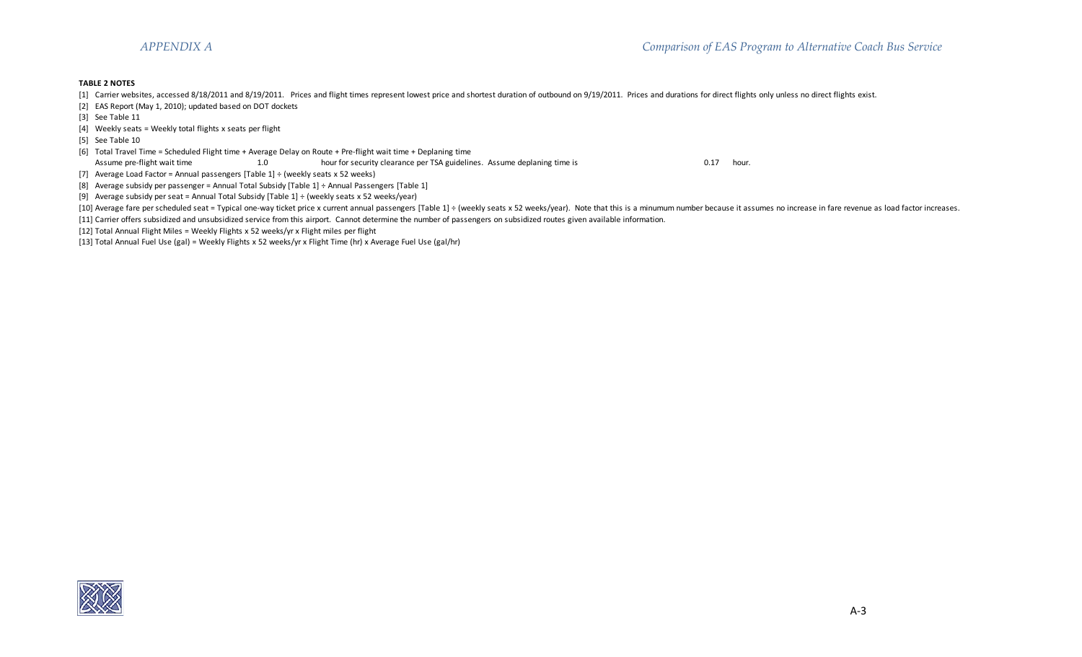## **TABLE 2 NOTES**

- [1] Carrier websites, accessed 8/18/2011 and 8/19/2011. Prices and flight times represent lowest price and shortest duration of outbound on 9/19/2011. Prices and durations for direct flights only unless no direct flights e
- [2] EAS Report (May 1, 2010); updated based on DOT dockets
- [3] See Table 11
- [4] Weekly seats = Weekly total flights x seats per flight
- [5] See Table 10
- [6] Total Travel Time = Scheduled Flight time + Average Delay on Route + Pre-flight wait time + Deplaning time
- Assume pre-flight wait time 1.0 hour for security clearance per TSA guidelines. Assume deplaning time is 0.17 hour.
- [7] Average Load Factor = Annual passengers  $[Table 1] \div (weekly seats x 52 weeks)$
- [8] Average subsidy per passenger = Annual Total Subsidy [Table 1] ÷ Annual Passengers [Table 1]
- [9] Average subsidy per seat = Annual Total Subsidy [Table 1] ÷ (weekly seats x 52 weeks/year)
- [10] Average fare per scheduled seat = Typical one-way ticket price x current annual passengers [Table 1] ÷ (weekly seats x 52 weeks/year). Note that this is a minumum number because it assumes no increase in fare revenue
- [11] Carrier offers subsidized and unsubsidized service from this airport. Cannot determine the number of passengers on subsidized routes given available information.
- [12] Total Annual Flight Miles = Weekly Flights x 52 weeks/yr x Flight miles per flight
- [13] Total Annual Fuel Use (gal) = Weekly Flights x 52 weeks/yr x Flight Time (hr) x Average Fuel Use (gal/hr)

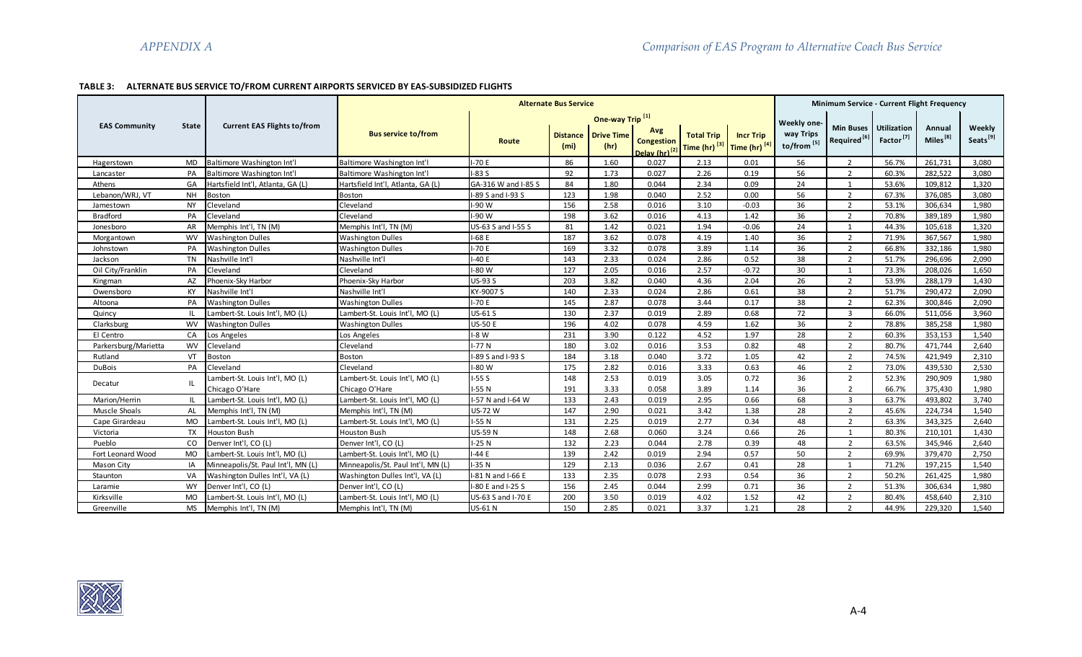# **TABLE 3: ALTERNATE BUS SERVICE TO/FROM CURRENT AIRPORTS SERVICED BY EAS-SUBSIDIZED FLIGHTS**

|                      |              |                                    |                                    |                     | <b>Alternate Bus Service</b>         |                             |                                                       |                                               |                                   |                                     | Minimum Service - Current Flight Frequency  |                                             |                                |                                |
|----------------------|--------------|------------------------------------|------------------------------------|---------------------|--------------------------------------|-----------------------------|-------------------------------------------------------|-----------------------------------------------|-----------------------------------|-------------------------------------|---------------------------------------------|---------------------------------------------|--------------------------------|--------------------------------|
|                      |              |                                    |                                    |                     |                                      | One-way Trip <sup>[1]</sup> |                                                       |                                               |                                   | Weekly one-                         |                                             |                                             |                                |                                |
| <b>EAS Community</b> | <b>State</b> | <b>Current EAS Flights to/from</b> | <b>Bus service to/from</b>         | Route               | <b>Distance</b><br>(m <sub>i</sub> ) | <b>Drive Time</b><br>(hr)   | Avg<br><b>Congestion</b><br>Delay (hr) <sup>[2]</sup> | <b>Total Trip</b><br>Time (hr) <sup>[3]</sup> | <b>Incr Trip</b><br>Time (hr) [4] | way Trips<br>to/from <sup>[5]</sup> | <b>Min Buses</b><br>Required <sup>[6]</sup> | <b>Utilization</b><br>Factor <sup>[7]</sup> | Annual<br>Miles <sup>[8]</sup> | Weekly<br>Seats <sup>[9]</sup> |
| Hagerstown           | <b>MD</b>    | Baltimore Washington Int'l         | Baltimore Washington Int'l         | $I-70E$             | 86                                   | 1.60                        | 0.027                                                 | 2.13                                          | 0.01                              | 56                                  | $\overline{2}$                              | 56.7%                                       | 261,731                        | 3,080                          |
| Lancaster            | PA           | Baltimore Washington Int'l         | Baltimore Washington Int'l         | $I-83S$             | 92                                   | 1.73                        | 0.027                                                 | 2.26                                          | 0.19                              | 56                                  | $\overline{2}$                              | 60.3%                                       | 282.522                        | 3.080                          |
| Athens               | GA           | Hartsfield Int'l, Atlanta, GA (L)  | Hartsfield Int'l, Atlanta, GA (L)  | GA-316 W and I-85 S | 84                                   | 1.80                        | 0.044                                                 | 2.34                                          | 0.09                              | 24                                  | $\mathbf{1}$                                | 53.6%                                       | 109,812                        | 1,320                          |
| Lebanon/WRJ, VT      | <b>NH</b>    | Boston                             | Boston                             | I-89 S and I-93 S   | 123                                  | 1.98                        | 0.040                                                 | 2.52                                          | 0.00                              | 56                                  | $\overline{2}$                              | 67.3%                                       | 376,085                        | 3,080                          |
| Jamestown            | <b>NY</b>    | Cleveland                          | Cleveland                          | I-90 W              | 156                                  | 2.58                        | 0.016                                                 | 3.10                                          | $-0.03$                           | 36                                  | $\overline{2}$                              | 53.1%                                       | 306,634                        | 1,980                          |
| Bradford             | PA           | Cleveland                          | Cleveland                          | I-90 W              | 198                                  | 3.62                        | 0.016                                                 | 4.13                                          | 1.42                              | 36                                  | $\overline{2}$                              | 70.8%                                       | 389,189                        | 1,980                          |
| Jonesboro            | AR           | Memphis Int'l, TN (M)              | Memphis Int'l, TN (M)              | US-63 S and I-55 S  | 81                                   | 1.42                        | 0.021                                                 | 1.94                                          | $-0.06$                           | 24                                  | $\mathbf{1}$                                | 44.3%                                       | 105,618                        | 1,320                          |
| Morgantown           | <b>WV</b>    | <b>Washington Dulles</b>           | <b>Washington Dulles</b>           | $I-68E$             | 187                                  | 3.62                        | 0.078                                                 | 4.19                                          | 1.40                              | 36                                  | $\overline{2}$                              | 71.9%                                       | 367,567                        | 1,980                          |
| Johnstown            | PA           | <b>Washington Dulles</b>           | <b>Washington Dulles</b>           | $I-70E$             | 169                                  | 3.32                        | 0.078                                                 | 3.89                                          | 1.14                              | 36                                  | $\overline{2}$                              | 66.8%                                       | 332,186                        | 1,980                          |
| Jackson              | <b>TN</b>    | Nashville Int'l                    | Nashville Int'l                    | $I-40E$             | 143                                  | 2.33                        | 0.024                                                 | 2.86                                          | 0.52                              | 38                                  | $\overline{2}$                              | 51.7%                                       | 296,696                        | 2,090                          |
| Oil City/Franklin    | PA           | Cleveland                          | Cleveland                          | I-80 W              | 127                                  | 2.05                        | 0.016                                                 | 2.57                                          | $-0.72$                           | 30                                  | 1                                           | 73.3%                                       | 208,026                        | 1,650                          |
| Kingman              | AZ           | Phoenix-Sky Harbor                 | Phoenix-Sky Harbor                 | <b>US-93 S</b>      | 203                                  | 3.82                        | 0.040                                                 | 4.36                                          | 2.04                              | 26                                  | $\overline{2}$                              | 53.9%                                       | 288,179                        | 1,430                          |
| Owensboro            | <b>KY</b>    | Nashville Int'l                    | Nashville Int'l                    | KY-9007 S           | 140                                  | 2.33                        | 0.024                                                 | 2.86                                          | 0.61                              | 38                                  | $\overline{2}$                              | 51.7%                                       | 290,472                        | 2,090                          |
| Altoona              | PA           | <b>Washington Dulles</b>           | <b>Washington Dulles</b>           | $I-70E$             | 145                                  | 2.87                        | 0.078                                                 | 3.44                                          | 0.17                              | 38                                  | $\overline{2}$                              | 62.3%                                       | 300,846                        | 2,090                          |
| Quincy               | IL.          | Lambert-St. Louis Int'l, MO (L)    | Lambert-St. Louis Int'l, MO (L)    | <b>US-61 S</b>      | 130                                  | 2.37                        | 0.019                                                 | 2.89                                          | 0.68                              | 72                                  | $\overline{3}$                              | 66.0%                                       | 511,056                        | 3,960                          |
| Clarksburg           | <b>WV</b>    | <b>Washington Dulles</b>           | <b>Washington Dulles</b>           | <b>US-50 E</b>      | 196                                  | 4.02                        | 0.078                                                 | 4.59                                          | 1.62                              | 36                                  | $\overline{2}$                              | 78.8%                                       | 385,258                        | 1,980                          |
| El Centro            | CA           | Los Angeles                        | Los Angeles                        | $I-8 W$             | 231                                  | 3.90                        | 0.122                                                 | 4.52                                          | 1.97                              | 28                                  | $\overline{2}$                              | 60.3%                                       | 353,153                        | 1,540                          |
| Parkersburg/Marietta | <b>WV</b>    | Cleveland                          | Cleveland                          | $I-77N$             | 180                                  | 3.02                        | 0.016                                                 | 3.53                                          | 0.82                              | 48                                  | $\overline{2}$                              | 80.7%                                       | 471,744                        | 2.640                          |
| Rutland              | VT           | <b>Boston</b>                      | <b>Boston</b>                      | I-89 S and I-93 S   | 184                                  | 3.18                        | 0.040                                                 | 3.72                                          | 1.05                              | 42                                  | $\overline{2}$                              | 74.5%                                       | 421,949                        | 2,310                          |
| <b>DuBois</b>        | PA           | Cleveland                          | Cleveland                          | $I-80$ W            | 175                                  | 2.82                        | 0.016                                                 | 3.33                                          | 0.63                              | 46                                  | $\overline{2}$                              | 73.0%                                       | 439,530                        | 2,530                          |
|                      | IL.          | Lambert-St. Louis Int'l, MO (L)    | Lambert-St. Louis Int'l, MO (L)    | $I-55S$             | 148                                  | 2.53                        | 0.019                                                 | 3.05                                          | 0.72                              | 36                                  | $\overline{2}$                              | 52.3%                                       | 290,909                        | 1,980                          |
| Decatur              |              | Chicago O'Hare                     | Chicago O'Hare                     | $I-55N$             | 191                                  | 3.33                        | 0.058                                                 | 3.89                                          | 1.14                              | 36                                  | $\overline{2}$                              | 66.7%                                       | 375,430                        | 1,980                          |
| Marion/Herrin        | IL.          | Lambert-St. Louis Int'l, MO (L)    | Lambert-St. Louis Int'l, MO (L)    | I-57 N and I-64 W   | 133                                  | 2.43                        | 0.019                                                 | 2.95                                          | 0.66                              | 68                                  | $\overline{3}$                              | 63.7%                                       | 493.802                        | 3.740                          |
| Muscle Shoals        | AL           | Memphis Int'l. TN (M)              | Memphis Int'l. TN (M)              | <b>US-72 W</b>      | 147                                  | 2.90                        | 0.021                                                 | 3.42                                          | 1.38                              | 28                                  | $\overline{2}$                              | 45.6%                                       | 224.734                        | 1.540                          |
| Cape Girardeau       | MO           | Lambert-St. Louis Int'l, MO (L)    | Lambert-St. Louis Int'l. MO (L)    | $I-55N$             | 131                                  | 2.25                        | 0.019                                                 | 2.77                                          | 0.34                              | 48                                  | $\overline{2}$                              | 63.3%                                       | 343,325                        | 2.640                          |
| Victoria             | TX           | Houston Bush                       | Houston Bush                       | <b>US-59 N</b>      | 148                                  | 2.68                        | 0.060                                                 | 3.24                                          | 0.66                              | 26                                  | 1                                           | 80.3%                                       | 210,101                        | 1,430                          |
| Pueblo               | CO           | Denver Int'l, CO (L)               | Denver Int'l, CO (L)               | $I-25N$             | 132                                  | 2.23                        | 0.044                                                 | 2.78                                          | 0.39                              | 48                                  | $\overline{2}$                              | 63.5%                                       | 345,946                        | 2,640                          |
| Fort Leonard Wood    | <b>MO</b>    | Lambert-St. Louis Int'l, MO (L)    | Lambert-St. Louis Int'l, MO (L)    | $I-44E$             | 139                                  | 2.42                        | 0.019                                                 | 2.94                                          | 0.57                              | 50                                  | $\overline{2}$                              | 69.9%                                       | 379,470                        | 2,750                          |
| Mason City           | IA           | Minneapolis/St. Paul Int'l, MN (L) | Minneapolis/St. Paul Int'l, MN (L) | $I-35N$             | 129                                  | 2.13                        | 0.036                                                 | 2.67                                          | 0.41                              | 28                                  | $\overline{1}$                              | 71.2%                                       | 197,215                        | 1,540                          |
| Staunton             | VA           | Washington Dulles Int'l, VA (L)    | Washington Dulles Int'l, VA (L)    | I-81 N and I-66 E   | 133                                  | 2.35                        | 0.078                                                 | 2.93                                          | 0.54                              | 36                                  | $\overline{2}$                              | 50.2%                                       | 261,425                        | 1,980                          |
| Laramie              | <b>WY</b>    | Denver Int'l, CO (L)               | Denver Int'l, CO (L)               | -80 E and I-25 S    | 156                                  | 2.45                        | 0.044                                                 | 2.99                                          | 0.71                              | 36                                  | $\overline{2}$                              | 51.3%                                       | 306,634                        | 1,980                          |
| Kirksville           | MO           | Lambert-St. Louis Int'l, MO (L)    | Lambert-St. Louis Int'l, MO (L)    | US-63 S and I-70 E  | 200                                  | 3.50                        | 0.019                                                 | 4.02                                          | 1.52                              | 42                                  | $\overline{2}$                              | 80.4%                                       | 458,640                        | 2,310                          |
| Greenville           | <b>MS</b>    | Memphis Int'l, TN (M)              | Memphis Int'l, TN (M)              | US-61 N             | 150                                  | 2.85                        | 0.021                                                 | 3.37                                          | 1.21                              | 28                                  | $\overline{2}$                              | 44.9%                                       | 229,320                        | 1,540                          |

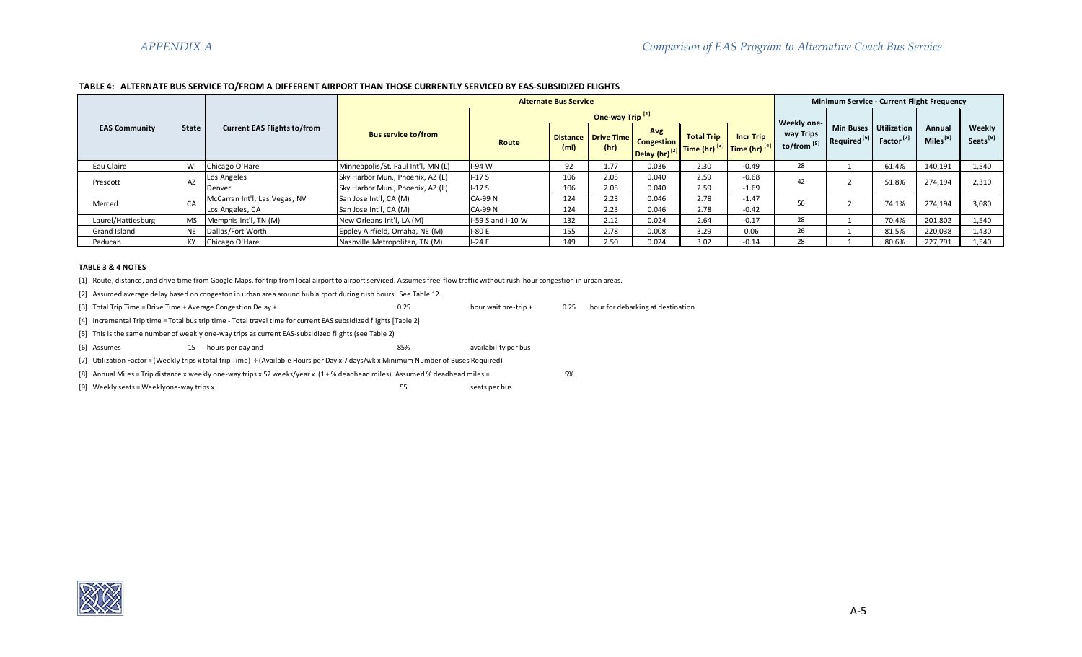# **TABLE 4: ALTERNATE BUS SERVICE TO/FROM A DIFFERENT AIRPORT THAN THOSE CURRENTLY SERVICED BY EAS-SUBSIDIZED FLIGHTS**

|                      |           |                                                  |                                                                      |                                 | <b>Alternate Bus Service</b> |                                 |                   |                                                                                                        |                    |                          | Minimum Service - Current Flight Frequency  |                                             |                                |                                |
|----------------------|-----------|--------------------------------------------------|----------------------------------------------------------------------|---------------------------------|------------------------------|---------------------------------|-------------------|--------------------------------------------------------------------------------------------------------|--------------------|--------------------------|---------------------------------------------|---------------------------------------------|--------------------------------|--------------------------------|
|                      |           | <b>Current EAS Flights to/from</b>               |                                                                      |                                 |                              | One-way Trip <sup>[1]</sup>     |                   |                                                                                                        |                    | Weekly one-              |                                             |                                             |                                |                                |
| <b>EAS Community</b> | State     |                                                  | <b>Bus service to/from</b>                                           | Route                           | (m <sub>i</sub> )            | Distance   Drive Time  <br>(hr) | Avg<br>Congestion | <b>Total Trip</b><br><b>Delay (hr)</b> <sup>[2]</sup> Time (hr) <sup>[3]</sup> Time (hr) <sup>[4</sup> | <b>Incr Trip</b>   | way Trips<br>to/from [5] | <b>Min Buses</b><br>Required <sup>[6]</sup> | <b>Utilization</b><br>Factor <sup>[7]</sup> | Annual<br>Miles <sup>[8]</sup> | Weekly<br>Seats <sup>[9]</sup> |
| Eau Claire           | WI        | Chicago O'Hare                                   | Minneapolis/St. Paul Int'l, MN (L)                                   | $I-94$ W                        | 92                           | 1.77                            | 0.036             | 2.30                                                                                                   | $-0.49$            | 28                       |                                             | 61.4%                                       | 140,191                        | 1,540                          |
| Prescott             | AZ        | Los Angeles<br>Denver                            | Sky Harbor Mun., Phoenix, AZ (L)<br>Sky Harbor Mun., Phoenix, AZ (L) | $I-17S$<br>$I-17S$              | 106<br>106                   | 2.05<br>2.05                    | 0.040<br>0.040    | 2.59<br>2.59                                                                                           | $-0.68$<br>$-1.69$ | 42                       |                                             | 51.8%                                       | 274.194                        | 2,310                          |
| Merced               | CA        | McCarran Int'l, Las Vegas, NV<br>Los Angeles, CA | San Jose Int'l, CA (M)<br>San Jose Int'l, CA (M)                     | <b>CA-99N</b><br><b>CA-99 N</b> | 124<br>124                   | 2.23<br>2.23                    | 0.046<br>0.046    | 2.78<br>2.78                                                                                           | $-1.47$<br>$-0.42$ | 56                       |                                             | 74.1%                                       | 274,194                        | 3,080                          |
| Laurel/Hattiesburg   | <b>MS</b> | Memphis Int'l, TN (M)                            | New Orleans Int'l, LA (M)                                            | I-59 S and I-10 W               | 132                          | 2.12                            | 0.024             | 2.64                                                                                                   | $-0.17$            | 28                       |                                             | 70.4%                                       | 201,802                        | 1,540                          |
| Grand Island         | <b>NE</b> | Dallas/Fort Worth                                | Eppley Airfield, Omaha, NE (M)                                       | $I-80E$                         | 155                          | 2.78                            | 0.008             | 3.29                                                                                                   | 0.06               | 26                       |                                             | 81.5%                                       | 220,038                        | 1,430                          |
| Paducah              | KY        | Chicago O'Hare                                   | Nashville Metropolitan, TN (M)                                       | $I-24E$                         | 149                          | 2.50                            | 0.024             | 3.02                                                                                                   | $-0.14$            | 28                       |                                             | 80.6%                                       | 227,791                        | 1.540                          |

#### **TABLE 3 & 4 NOTES**

[1] Route, distance, and drive time from Google Maps, for trip from local airport to airport serviced. Assumes free-flow traffic without rush-hour congestion in urban areas.

[2] Assumed average delay based on congeston in urban area around hub airport during rush hours. See Table 12.

[3] Total Trip Time = Drive Time + Average Congestion Delay + 0.25 hour wait pre-trip + 0.25 hour for debarking at destination

[4] Incremental Trip time = Total bus trip time - Total travel time for current EAS subsidized flights [Table 2]

[5] This is the same number of weekly one-way trips as current EAS-subsidized flights (see Table 2)

[6] Assumes 15 hours per day and 15 availability per bus

[7] Utilization Factor = (Weekly trips x total trip Time) ÷ (Available Hours per Day x 7 days/wk x Minimum Number of Buses Required)

[8] Annual Miles = Trip distance x weekly one-way trips x 52 weeks/year x (1 + % deadhead miles). Assumed % deadhead miles = 5%

[9] Weekly seats = Weeklyone-way trips x 55 seats per bus

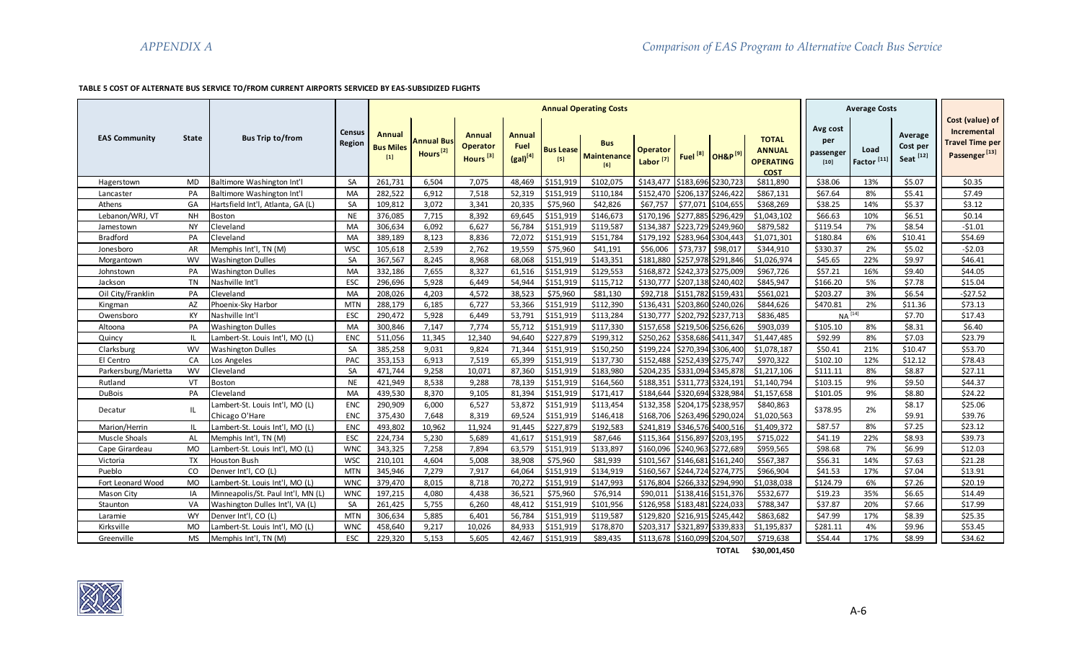# **TABLE 5 COST OF ALTERNATE BUS SERVICE TO/FROM CURRENT AIRPORTS SERVICED BY EAS-SUBSIDIZED FLIGHTS**

|                      |           |                                    |                                |                                            |                                    |                                                          |                                        |                           | <b>Annual Operating Costs</b>           |                                         |                     |                                |                                                                  |                                        | <b>Average Costs</b>           |                                             |                                                                                       |
|----------------------|-----------|------------------------------------|--------------------------------|--------------------------------------------|------------------------------------|----------------------------------------------------------|----------------------------------------|---------------------------|-----------------------------------------|-----------------------------------------|---------------------|--------------------------------|------------------------------------------------------------------|----------------------------------------|--------------------------------|---------------------------------------------|---------------------------------------------------------------------------------------|
| <b>EAS Community</b> | State     | <b>Bus Trip to/from</b>            | <b>Census</b><br><b>Region</b> | <b>Annual</b><br><b>Bus Miles</b><br>$[1]$ | Annual Bus<br>Hours <sup>[2]</sup> | <b>Annual</b><br><b>Operator</b><br>Hours <sup>[3]</sup> | Annual<br><b>Fuel</b><br>$(gal)^{[4]}$ | <b>Bus Lease</b><br>$[5]$ | <b>Bus</b><br><b>Maintenance</b><br>[6] | <b>Operator</b><br>Labor <sup>[7]</sup> | Fuel <sup>[8]</sup> | <b>OH&amp;P</b> <sup>[9]</sup> | <b>TOTAL</b><br><b>ANNUAL</b><br><b>OPERATING</b><br><b>COST</b> | Avg cost<br>per<br>passenger<br>$[10]$ | Load<br>Factor <sup>[11]</sup> | Average<br>Cost per<br>Seat <sup>[12]</sup> | Cost (value) of<br>Incremental<br><b>Travel Time per</b><br>Passenger <sup>[13]</sup> |
| Hagerstown           | <b>MD</b> | Baltimore Washington Int'l         | SA                             | 261,731                                    | 6,504                              | 7,075                                                    | 48,469                                 | \$151,919                 | \$102,075                               | \$143,477                               |                     | \$183,696 \$230,723            | \$811,890                                                        | \$38.06                                | 13%                            | \$5.07                                      | \$0.35                                                                                |
| Lancaster            | PA        | Baltimore Washington Int'l         | MA                             | 282,522                                    | 6,912                              | 7,518                                                    | 52,319                                 | \$151,919                 | \$110,184                               | \$152,470                               |                     | \$206,137 \$246,422            | \$867,131                                                        | \$67.64                                | 8%                             | \$5.41                                      | \$7.49                                                                                |
| Athens               | GA        | Hartsfield Int'l, Atlanta, GA (L)  | SA                             | 109,812                                    | 3,072                              | 3,341                                                    | 20,335                                 | \$75,960                  | \$42,826                                | \$67,757                                | \$77,071            | \$104,655                      | \$368,269                                                        | \$38.25                                | 14%                            | \$5.37                                      | \$3.12                                                                                |
| Lebanon/WRJ, VT      | <b>NH</b> | <b>Boston</b>                      | <b>NE</b>                      | 376,085                                    | 7,715                              | 8,392                                                    | 69,645                                 | \$151,919                 | \$146,673                               | \$170,196                               |                     | \$277,885 \$296,429            | \$1,043,102                                                      | \$66.63                                | 10%                            | \$6.51                                      | \$0.14                                                                                |
| Jamestown            | <b>NY</b> | Cleveland                          | <b>MA</b>                      | 306,634                                    | 6,092                              | 6,627                                                    | 56,784                                 | \$151,919                 | \$119,587                               | \$134,387                               |                     | \$223,729 \$249,960            | \$879,582                                                        | \$119.54                               | 7%                             | \$8.54                                      | $-51.01$                                                                              |
| Bradford             | PA        | Cleveland                          | <b>MA</b>                      | 389,189                                    | 8,123                              | 8,836                                                    | 72,072                                 | \$151,919                 | \$151,784                               | \$179,192                               |                     | \$283,964 \$304,443            | \$1,071,301                                                      | \$180.84                               | 6%                             | \$10.41                                     | \$54.69                                                                               |
| Jonesboro            | AR        | Memphis Int'l, TN (M)              | <b>WSC</b>                     | 105,618                                    | 2,539                              | 2,762                                                    | 19,559                                 | \$75,960                  | \$41,191                                | \$56,006                                | \$73,737            | \$98,017                       | \$344,910                                                        | \$330.37                               | 2%                             | \$5.02                                      | $-52.03$                                                                              |
| Morgantown           | <b>WV</b> | <b>Washington Dulles</b>           | SA                             | 367,567                                    | 8,245                              | 8,968                                                    | 68,068                                 | \$151,919                 | \$143,351                               | \$181,880                               |                     | \$257,978 \$291,846            | \$1,026,974                                                      | \$45.65                                | 22%                            | \$9.97                                      | \$46.41                                                                               |
| Johnstown            | PA        | <b>Washington Dulles</b>           | <b>MA</b>                      | 332,186                                    | 7,655                              | 8,327                                                    | 61,516                                 | \$151,919                 | \$129,553                               | \$168,872                               |                     | \$242,373 \$275,009            | \$967,726                                                        | \$57.21                                | 16%                            | \$9.40                                      | \$44.05                                                                               |
| Jackson              | <b>TN</b> | Nashville Int'l                    | ESC                            | 296,696                                    | 5,928                              | 6,449                                                    | 54,944                                 | \$151,919                 | \$115,712                               | \$130,777                               | \$207,138 \$240,402 |                                | \$845,947                                                        | \$166.20                               | 5%                             | \$7.78                                      | \$15.04                                                                               |
| Oil City/Franklin    | PA        | Cleveland                          | MA                             | 208,026                                    | 4,203                              | 4,572                                                    | 38,523                                 | \$75,960                  | \$81,130                                | \$92,718                                |                     | \$151,782 \$159,431            | \$561,021                                                        | \$203.27                               | 3%                             | \$6.54                                      | $-527.52$                                                                             |
| Kingman              | AZ        | Phoenix-Sky Harbor                 | <b>MTN</b>                     | 288,179                                    | 6,185                              | 6,727                                                    | 53,366                                 | \$151,919                 | \$112,390                               | \$136,431                               |                     | \$203,860 \$240,026            | \$844,626                                                        | \$470.81                               | 2%                             | \$11.36                                     | \$73.13                                                                               |
| Owensboro            | KY        | Nashville Int'l                    | ESC                            | 290,472                                    | 5,928                              | 6,449                                                    | 53,791                                 | \$151,919                 | \$113,284                               | \$130,777                               |                     | \$202,792 \$237,713            | \$836,485                                                        | $NA[14]$                               |                                | \$7.70                                      | \$17.43                                                                               |
| Altoona              | PA        | <b>Washington Dulles</b>           | MA                             | 300,846                                    | 7,147                              | 7,774                                                    | 55,712                                 | \$151,919                 | \$117,330                               | \$157,658                               |                     | \$219,506 \$256,626            | \$903,039                                                        | \$105.10                               | 8%                             | \$8.31                                      | \$6.40                                                                                |
| Quincy               | -IL       | Lambert-St. Louis Int'l, MO (L)    | <b>ENC</b>                     | 511,056                                    | 11,345                             | 12,340                                                   | 94,640                                 | \$227,879                 | \$199,312                               | \$250,262                               |                     | \$358,686 \$411,347            | \$1,447,485                                                      | \$92.99                                | 8%                             | \$7.03                                      | \$23.79                                                                               |
| Clarksburg           | <b>WV</b> | <b>Washington Dulles</b>           | <b>SA</b>                      | 385,258                                    | 9,031                              | 9,824                                                    | 71,344                                 | \$151,919                 | \$150,250                               | \$199,224                               |                     | \$270,394 \$306,400            | \$1,078,187                                                      | \$50.41                                | 21%                            | \$10.47                                     | \$53.70                                                                               |
| El Centro            | CA        | Los Angeles                        | PAC                            | 353,153                                    | 6,913                              | 7,519                                                    | 65,399                                 | \$151,919                 | \$137,730                               | \$152,488                               |                     | \$252,439 \$275,747            | \$970,322                                                        | \$102.10                               | 12%                            | \$12.12                                     | \$78.43                                                                               |
| Parkersburg/Marietta | <b>WV</b> | Cleveland                          | SA                             | 471,744                                    | 9,258                              | 10,071                                                   | 87,360                                 | \$151,919                 | \$183,980                               | \$204,235                               |                     | \$331,094 \$345,878            | \$1,217,106                                                      | \$111.11                               | 8%                             | \$8.87                                      | \$27.11                                                                               |
| Rutland              | VT        | <b>Boston</b>                      | <b>NE</b>                      | 421,949                                    | 8.538                              | 9,288                                                    | 78,139                                 | \$151,919                 | \$164.560                               | \$188,351                               |                     | \$311,773 \$324,191            | \$1,140,794                                                      | \$103.15                               | 9%                             | \$9.50                                      | \$44.37                                                                               |
| <b>DuBois</b>        | PA        | Cleveland                          | MA                             | 439,530                                    | 8,370                              | 9,105                                                    | 81,394                                 | \$151,919                 | \$171,417                               | \$184,644                               |                     | \$320,694 \$328,984            | \$1,157,658                                                      | \$101.05                               | 9%                             | \$8.80                                      | \$24.22                                                                               |
|                      |           | Lambert-St. Louis Int'l, MO (L)    | <b>ENC</b>                     | 290,909                                    | 6,000                              | 6,527                                                    | 53,872                                 | \$151,919                 | \$113,454                               | \$132,358                               |                     | \$204,175 \$238,957            | \$840,863                                                        | \$378.95                               | 2%                             | \$8.17                                      | \$25.06                                                                               |
| Decatur              | IL        | Chicago O'Hare                     | ENC                            | 375,430                                    | 7,648                              | 8,319                                                    | 69,524                                 | \$151,919                 | \$146,418                               | \$168,706                               |                     | \$263,496 \$290,024            | \$1,020,563                                                      |                                        |                                | \$9.91                                      | \$39.76                                                                               |
| Marion/Herrin        | <b>IL</b> | Lambert-St. Louis Int'l, MO (L)    | <b>ENC</b>                     | 493,802                                    | 10,962                             | 11,924                                                   | 91,445                                 | \$227,879                 | \$192,583                               | \$241,819                               |                     | \$346,576 \$400,516            | \$1,409,372                                                      | \$87.57                                | 8%                             | \$7.25                                      | \$23.12                                                                               |
| Muscle Shoals        | <b>AL</b> | Memphis Int'l, TN (M)              | ESC                            | 224,734                                    | 5,230                              | 5,689                                                    | 41,617                                 | \$151,919                 | \$87,646                                | \$115,364                               |                     | \$156,897 \$203,195            | \$715,022                                                        | \$41.19                                | 22%                            | \$8.93                                      | \$39.73                                                                               |
| Cape Girardeau       | <b>MO</b> | Lambert-St. Louis Int'l, MO (L)    | <b>WNC</b>                     | 343,325                                    | 7,258                              | 7,894                                                    | 63,579                                 | \$151,919                 | \$133,897                               | \$160,096                               |                     | \$240,963 \$272,689            | \$959,565                                                        | \$98.68                                | 7%                             | \$6.99                                      | \$12.03                                                                               |
| Victoria             | <b>TX</b> | Houston Bush                       | <b>WSC</b>                     | 210,101                                    | 4,604                              | 5,008                                                    | 38,908                                 | \$75,960                  | \$81,939                                | \$101,567                               |                     | \$146,681 \$161,240            | \$567,387                                                        | \$56.31                                | 14%                            | \$7.63                                      | \$21.28                                                                               |
| Pueblo               | CO        | Denver Int'l, CO (L)               | <b>MTN</b>                     | 345,946                                    | 7,279                              | 7,917                                                    | 64,064                                 | \$151,919                 | \$134,919                               | \$160,567                               |                     | \$244,724 \$274,775            | \$966,904                                                        | \$41.53                                | 17%                            | \$7.04                                      | \$13.91                                                                               |
| Fort Leonard Wood    | <b>MO</b> | Lambert-St. Louis Int'l, MO (L)    | <b>WNC</b>                     | 379,470                                    | 8,015                              | 8,718                                                    | 70,272                                 | \$151,919                 | \$147,993                               | \$176,804                               |                     | \$266,332 \$294,990            | \$1,038,038                                                      | \$124.79                               | 6%                             | \$7.26                                      | \$20.19                                                                               |
| <b>Mason City</b>    | IA        | Minneapolis/St. Paul Int'l, MN (L) | <b>WNC</b>                     | 197,215                                    | 4,080                              | 4,438                                                    | 36,521                                 | \$75,960                  | \$76,914                                | \$90,011                                |                     | \$138,416 \$151,376            | \$532,677                                                        | \$19.23                                | 35%                            | \$6.65                                      | \$14.49                                                                               |
| Staunton             | VA        | Washington Dulles Int'l, VA (L)    | SA                             | 261,425                                    | 5,755                              | 6,260                                                    | 48,412                                 | \$151,919                 | \$101,956                               | \$126,958                               |                     | \$183,481 \$224,033            | \$788,347                                                        | \$37.87                                | 20%                            | \$7.66                                      | \$17.99                                                                               |
| Laramie              | <b>WY</b> | Denver Int'l, CO (L)               | <b>MTN</b>                     | 306,634                                    | 5,885                              | 6,401                                                    | 56,784                                 | \$151,919                 | \$119,587                               | \$129,820                               |                     | \$216,915 \$245,442            | \$863,682                                                        | \$47.99                                | 17%                            | \$8.39                                      | \$25.35                                                                               |
| Kirksville           | <b>MO</b> | Lambert-St. Louis Int'l, MO (L)    | <b>WNC</b>                     | 458,640                                    | 9,217                              | 10,026                                                   | 84,933                                 | \$151,919                 | \$178,870                               | \$203,317                               |                     | \$321,897 \$339,833            | \$1,195,837                                                      | \$281.11                               | 4%                             | \$9.96                                      | \$53.45                                                                               |
| Greenville           | <b>MS</b> | Memphis Int'l, TN (M)              | ESC                            | 229,320                                    | 5,153                              | 5,605                                                    | 42,467                                 | \$151,919                 | \$89,435                                | \$113,678                               |                     | \$160,099 \$204,507            | \$719,638                                                        | \$54.44                                | 17%                            | \$8.99                                      | \$34.62                                                                               |

**TOTAL \$30,001,450**

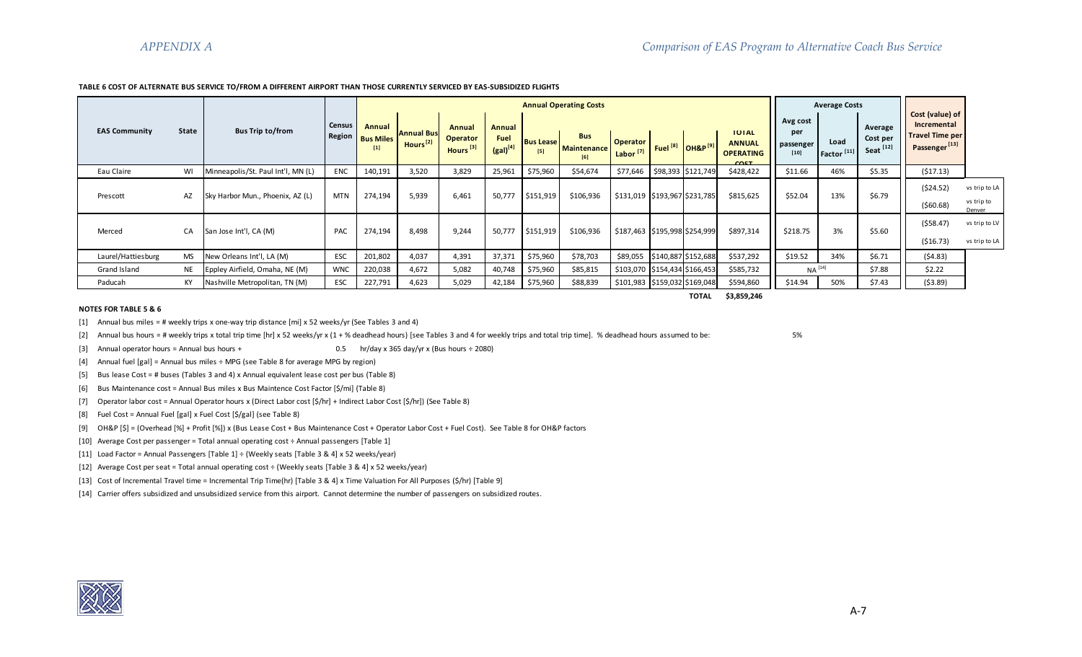#### **TABLE 6 COST OF ALTERNATE BUS SERVICE TO/FROM A DIFFERENT AIRPORT THAN THOSE CURRENTLY SERVICED BY EAS-SUBSIDIZED FLIGHTS**

|                      |           |                                   |                  |                                     |                                           |                                                   |                                        |                         | <b>Annual Operating Costs</b>    |                                         |                                         |                                                           |                                        | <b>Average Costs</b>           |                                  |                                                                                       |                                       |
|----------------------|-----------|-----------------------------------|------------------|-------------------------------------|-------------------------------------------|---------------------------------------------------|----------------------------------------|-------------------------|----------------------------------|-----------------------------------------|-----------------------------------------|-----------------------------------------------------------|----------------------------------------|--------------------------------|----------------------------------|---------------------------------------------------------------------------------------|---------------------------------------|
| <b>EAS Community</b> | State     | <b>Bus Trip to/from</b>           | Census<br>Region | Annual<br><b>Bus Miles</b><br>$[1]$ | <b>Annual Bus</b><br>Hours <sup>[2]</sup> | Annual<br><b>Operator</b><br>Hours <sup>[3]</sup> | Annual<br><b>Fuel</b><br>$(gal)^{[4]}$ | <b>Bus Lease</b><br>[5] | <b>Bus</b><br>Maintenance<br>[6] | <b>Operator</b><br>Labor <sup>[7]</sup> | Fuel <sup>[8]</sup> OH&P <sup>[9]</sup> | <b>TOTAL</b><br><b>ANNUAL</b><br><b>OPERATING</b><br>CQCT | Avg cost<br>per<br>passenger<br>$[10]$ | Load<br>Factor <sup>[11]</sup> | Average<br>Cost per<br>Seat [12] | Cost (value) of<br>Incremental<br><b>Travel Time per</b><br>Passenger <sup>[13]</sup> |                                       |
| Eau Claire           | WI        | Minneapolis/St. Paul Int'l, MN (L | <b>ENC</b>       | 140,191                             | 3,520                                     | 3,829                                             | 25,961                                 | \$75,960                | \$54,674                         | \$77,646                                | \$98,393 \$121,749                      | \$428,422                                                 | \$11.66                                | 46%                            | \$5.35                           | ( \$17.13)                                                                            |                                       |
| Prescott             | AZ        | Sky Harbor Mun., Phoenix, AZ (L)  | <b>MTN</b>       | 274,194                             | 5,939                                     | 6,461                                             | 50,777                                 | \$151,919               | \$106,936                        | \$131,019 \$193,967 \$231,785           |                                         | \$815,625                                                 | \$52.04                                | 13%                            | \$6.79                           | (524.52)<br>(560.68)                                                                  | vs trip to LA<br>vs trip to<br>Denver |
| Merced               | CA        | San Jose Int'l, CA (M)            | PAC              | 274,194                             | 8,498                                     | 9,244                                             | 50,777                                 | \$151,919               | \$106,936                        | \$187,463 \$195,998 \$254,999           |                                         | \$897,314                                                 | \$218.75                               | 3%                             | \$5.60                           | (558.47)<br>( \$16.73)                                                                | vs trip to LV<br>vs trip to LA        |
| Laurel/Hattiesburg   | MS        | New Orleans Int'l, LA (M)         | ESC              | 201,802                             | 4,037                                     | 4,391                                             | 37,371                                 | \$75,960                | \$78,703                         | \$89,055                                | \$140,887 \$152,688                     | \$537,292                                                 | \$19.52                                | 34%                            | \$6.71                           | (54.83)                                                                               |                                       |
| Grand Island         | <b>NE</b> | Eppley Airfield, Omaha, NE (M)    | <b>WNC</b>       | 220,038                             | 4,672                                     | 5,082                                             | 40,748                                 | \$75,960                | \$85,815                         | \$103,070 \$154,434 \$166,453           |                                         | \$585,732                                                 | $NA$ <sup>[14]</sup>                   |                                | \$7.88                           | \$2.22                                                                                |                                       |
| Paducah              | KY        | Nashville Metropolitan, TN (M)    | ESC              | 227,791                             | 4,623                                     | 5,029                                             | 42,184                                 | \$75,960                | \$88,839                         | \$101,983   \$159,032   \$169,048       |                                         | \$594,860                                                 | \$14.94                                | 50%                            | \$7.43                           | ( \$3.89)                                                                             |                                       |

**TOTAL \$3,859,246**

#### **NOTES FOR TABLE 5 & 6**

[1] Annual bus miles = # weekly trips x one-way trip distance [mi] x 52 weeks/yr (See Tables 3 and 4)

[2] Annual bus hours = # weekly trips x total trip time [hr] x 52 weeks/yr x (1 + % deadhead hours) [see Tables 3 and 4 for weekly trips and total trip time]. % deadhead hours assumed to be: 5%

[3] Annual operator hours = Annual bus hours + 0.5 hr/day x 365 day/yr x (Bus hours ÷ 2080)

[4] Annual fuel [gal] = Annual bus miles ÷ MPG (see Table 8 for average MPG by region)

[5] Bus lease Cost = # buses (Tables 3 and 4) x Annual equivalent lease cost per bus (Table 8)

[6] Bus Maintenance cost = Annual Bus miles x Bus Maintence Cost Factor [\$/mi] (Table 8)

[7] Operator labor cost = Annual Operator hours x (Direct Labor cost [\$/hr] + Indirect Labor Cost [\$/hr]) (See Table 8)

[8] Fuel Cost = Annual Fuel [gal] x Fuel Cost [\$/gal] (see Table 8)

[9] OH&P [\$] = (Overhead [%] + Profit [%]) x (Bus Lease Cost + Bus Maintenance Cost + Operator Labor Cost + Fuel Cost). See Table 8 for OH&P factors

[10] Average Cost per passenger = Total annual operating cost ÷ Annual passengers [Table 1]

[11] Load Factor = Annual Passengers [Table 1] ÷ (Weekly seats [Table 3 & 4] x 52 weeks/year)

[12] Average Cost per seat = Total annual operating cost ÷ (Weekly seats [Table 3 & 4] x 52 weeks/year)

[13] Cost of Incremental Travel time = Incremental Trip Time(hr) [Table 3 & 4] x Time Valuation For All Purposes (\$/hr) [Table 9]

[14] Carrier offers subsidized and unsubsidized service from this airport. Cannot determine the number of passengers on subsidized routes.

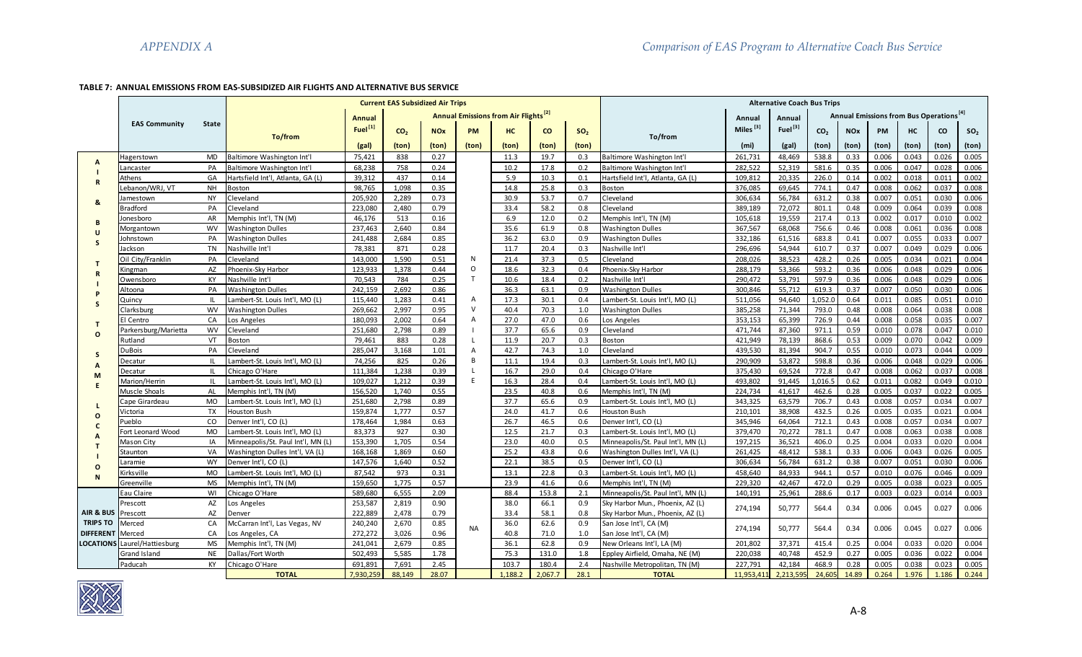# **TABLE 7: ANNUAL EMISSIONS FROM EAS-SUBSIDIZED AIR FLIGHTS AND ALTERNATIVE BUS SERVICE**

|                  |                      |              |                                    |                     | <b>Current EAS Subsidized Air Trips</b> |            |                |                                                         |              |                 |                                    |                | <b>Alternative Coach Bus Trips</b> |                 |            |                                                     |       |           |                 |
|------------------|----------------------|--------------|------------------------------------|---------------------|-----------------------------------------|------------|----------------|---------------------------------------------------------|--------------|-----------------|------------------------------------|----------------|------------------------------------|-----------------|------------|-----------------------------------------------------|-------|-----------|-----------------|
|                  |                      |              |                                    | <b>Annual</b>       |                                         |            |                | <b>Annual Emissions from Air Flights</b> <sup>[2]</sup> |              |                 |                                    | Annual         | Annual                             |                 |            | Annual Emissions from Bus Operations <sup>[4]</sup> |       |           |                 |
|                  | <b>EAS Community</b> | <b>State</b> |                                    | Fuel <sup>[1]</sup> | CO <sub>2</sub>                         | <b>NOx</b> | PM             | HC                                                      | $\mathbf{c}$ | SO <sub>2</sub> |                                    | Miles $^{[3]}$ | Fuel <sup>[3]</sup>                | CO <sub>2</sub> | <b>NOx</b> | PM                                                  | HC    | <b>CO</b> | SO <sub>2</sub> |
|                  |                      |              | To/from                            |                     |                                         |            |                |                                                         |              |                 | To/from                            |                |                                    |                 |            |                                                     |       |           |                 |
|                  |                      |              |                                    | (gal)               | (ton)                                   | (ton)      | (ton)          | (ton)                                                   | (ton)        | (ton)           |                                    | (mi)           | (gal)                              | (ton)           | (ton)      | (ton)                                               | (ton) | (ton)     | (ton)           |
| A                | Hagerstown           | MD           | Baltimore Washington Int'l         | 75,421              | 838                                     | 0.27       |                | 11.3                                                    | 19.7         | 0.3             | Baltimore Washington Int'l         | 261,731        | 48,469                             | 538.8           | 0.33       | 0.006                                               | 0.043 | 0.026     | 0.005           |
|                  | .ancaster            | PA           | Baltimore Washington Int'l         | 68,238              | 758                                     | 0.24       |                | 10.2                                                    | 17.8         | 0.2             | Baltimore Washington Int'l         | 282,522        | 52,319                             | 581.6           | 0.35       | 0.006                                               | 0.047 | 0.028     | 0.006           |
| $\mathbb{R}$     | Athens               | GA           | Hartsfield Int'l, Atlanta, GA (L)  | 39,312              | 437                                     | 0.14       |                | 5.9                                                     | 10.3         | 0.1             | Hartsfield Int'l, Atlanta, GA (L)  | 109,812        | 20,335                             | 226.0           | 0.14       | 0.002                                               | 0.018 | 0.011     | 0.002           |
|                  | Lebanon/WRJ. VT      | <b>NH</b>    | <b>Boston</b>                      | 98,765              | 1,098                                   | 0.35       |                | 14.8                                                    | 25.8         | 0.3             | Boston                             | 376,085        | 69,645                             | 774.1           | 0.47       | 0.008                                               | 0.062 | 0.037     | 0.008           |
| &                | amestown             | <b>NY</b>    | Cleveland                          | 205,920             | 2,289                                   | 0.73       |                | 30.9                                                    | 53.7         | 0.7             | leveland                           | 306,634        | 56,784                             | 631.2           | 0.38       | 0.007                                               | 0.051 | 0.030     | 0.006           |
|                  | 3radford             | PA           | Cleveland                          | 223,080             | 2,480                                   | 0.79       |                | 33.4                                                    | 58.2         | 0.8             | <b>Cleveland</b>                   | 389,189        | 72,072                             | 801.1           | 0.48       | 0.009                                               | 0.064 | 0.039     | 0.008           |
| B                | onesboro             | AR           | Memphis Int'l, TN (M)              | 46,176              | 513                                     | 0.16       |                | 6.9                                                     | 12.0         | 0.2             | Memphis Int'l, TN (M)              | 105,618        | 19,559                             | 217.4           | 0.13       | 0.002                                               | 0.017 | 0.010     | 0.002           |
| U                | Morgantown           | <b>WV</b>    | <b>Washington Dulles</b>           | 237,463             | 2,640                                   | 0.84       |                | 35.6                                                    | 61.9         | 0.8             | Washington Dulles                  | 367,567        | 68,068                             | 756.6           | 0.46       | 0.008                                               | 0.061 | 0.036     | 0.008           |
| S                | Iohnstown            | PA           | <b>Washington Dulles</b>           | 241,488             | 2,684                                   | 0.85       |                | 36.2                                                    | 63.0         | 0.9             | <b>Washington Dulles</b>           | 332,186        | 61,516                             | 683.8           | 0.41       | 0.007                                               | 0.055 | 0.033     | 0.007           |
|                  | <b>Jackson</b>       | <b>TN</b>    | Nashville Int'l                    | 78,381              | 871                                     | 0.28       |                | 11.7                                                    | 20.4         | 0.3             | Nashville Int'l                    | 296.696        | 54.944                             | 610.7           | 0.37       | 0.007                                               | 0.049 | 0.029     | 0.006           |
| T                | Oil City/Franklin    | PA           | Cleveland                          | 143,000             | 1,590                                   | 0.51       | N              | 21.4                                                    | 37.3         | 0.5             | Cleveland                          | 208,026        | 38,523                             | 428.2           | 0.26       | 0.005                                               | 0.034 | 0.021     | 0.004           |
| $\mathsf R$      | Kingman              | AZ           | Phoenix-Sky Harbor                 | 123,933             | 1,378                                   | 0.44       | $\mathsf O$    | 18.6                                                    | 32.3         | 0.4             | hoenix-Sky Harbor                  | 288,179        | 53,366                             | 593.2           | 0.36       | 0.006                                               | 0.048 | 0.029     | 0.006           |
|                  | Owensboro            | <b>KY</b>    | Nashville Int'l                    | 70,543              | 784                                     | 0.25       | $\mathsf{T}$   | 10.6                                                    | 18.4         | 0.2             | <b>Nashville Int'l</b>             | 290,472        | 53,791                             | 597.9           | 0.36       | 0.006                                               | 0.048 | 0.029     | 0.006           |
| P                | Altoona              | PA           | <b>Washington Dulles</b>           | 242,159             | 2,692                                   | 0.86       |                | 36.3                                                    | 63.1         | 0.9             | <b>Nashington Dulles</b>           | 300,846        | 55,712                             | 619.3           | 0.37       | 0.007                                               | 0.050 | 0.030     | 0.006           |
| $\mathsf{s}$     | Quincy               | IL           | Lambert-St. Louis Int'l, MO (L)    | 115,440             | 1,283                                   | 0.41       | Α              | 17.3                                                    | 30.1         | 0.4             | ambert-St. Louis Int'l, MO (L)     | 511,056        | 94,640                             | 1,052.0         | 0.64       | 0.011                                               | 0.085 | 0.051     | 0.010           |
|                  | Clarksburg           | <b>WV</b>    | <b>Washington Dulles</b>           | 269,662             | 2,997                                   | 0.95       | $\vee$         | 40.4                                                    | 70.3         | 1.0             | <b>Washington Dulles</b>           | 385,258        | 71,344                             | 793.0           | 0.48       | 0.008                                               | 0.064 | 0.038     | 0.008           |
| $\mathbf{T}$     | El Centro            | CA           | Los Angeles                        | 180,093             | 2,002                                   | 0.64       | $\overline{A}$ | 27.0                                                    | 47.0         | 0.6             | os Angeles                         | 353,153        | 65,399                             | 726.9           | 0.44       | 0.008                                               | 0.058 | 0.035     | 0.007           |
| $\Omega$         | arkersburg/Marietta  | <b>WV</b>    | Cleveland                          | 251,680             | 2,798                                   | 0.89       |                | 37.7                                                    | 65.6         | 0.9             | Cleveland                          | 471,744        | 87,360                             | 971.1           | 0.59       | 0.010                                               | 0.078 | 0.047     | 0.010           |
|                  | Rutland              | VT           | Boston                             | 79,461              | 883                                     | 0.28       | L              | 11.9                                                    | 20.7         | 0.3             | Boston                             | 421,949        | 78,139                             | 868.6           | 0.53       | 0.009                                               | 0.070 | 0.042     | 0.009           |
| S                | DuBois               | PA           | Cleveland                          | 285,047             | 3,168                                   | 1.01       | $\overline{A}$ | 42.7                                                    | 74.3         | 1.0             | leveland                           | 439,530        | 81,394                             | 904.7           | 0.55       | 0.010                                               | 0.073 | 0.044     | 0.009           |
| A                | Decatur              | IL.          | Lambert-St. Louis Int'l, MO (L)    | 74,256              | 825                                     | 0.26       | B              | 11.1                                                    | 19.4         | 0.3             | ambert-St. Louis Int'l, MO (L)     | 290,909        | 53,872                             | 598.8           | 0.36       | 0.006                                               | 0.048 | 0.029     | 0.006           |
| M                | Decatur              | IL.          | Chicago O'Hare                     | 111,384             | 1,238                                   | 0.39       | $\mathsf{L}$   | 16.7                                                    | 29.0         | 0.4             | Chicago O'Hare                     | 375,430        | 69,524                             | 772.8           | 0.47       | 0.008                                               | 0.062 | 0.037     | 0.008           |
|                  | Marion/Herrin        | IL           | Lambert-St. Louis Int'l, MO (L)    | 109,027             | 1,212                                   | 0.39       | E              | 16.3                                                    | 28.4         | 0.4             | ambert-St. Louis Int'l, MO (L)     | 493,802        | 91,445                             | 1.016.5         | 0.62       | 0.011                                               | 0.082 | 0.049     | 0.010           |
| E                | Muscle Shoals        | AL           | Memphis Int'l. TN (M)              | 156,520             | 1.740                                   | 0.55       |                | 23.5                                                    | 40.8         | 0.6             | Memphis Int'l. TN (M)              | 224,734        | 41,617                             | 462.6           | 0.28       | 0.005                                               | 0.037 | 0.022     | 0.005           |
|                  | Cape Girardeau       | <b>MO</b>    | Lambert-St. Louis Int'l, MO (L)    | 251,680             | 2,798                                   | 0.89       |                | 37.7                                                    | 65.6         | 0.9             | Lambert-St. Louis Int'l, MO (L)    | 343,325        | 63,579                             | 706.7           | 0.43       | 0.008                                               | 0.057 | 0.034     | 0.007           |
| L.               | /ictoria             | <b>TX</b>    | <b>Houston Bush</b>                | 159,874             | 1,777                                   | 0.57       |                | 24.0                                                    | 41.7         | 0.6             | Houston Bush                       | 210,101        | 38,908                             | 432.5           | 0.26       | 0.005                                               | 0.035 | 0.021     | 0.004           |
| $\mathbf{o}$     | Pueblo               | CO           | Denver Int'l, CO (L)               | 178,464             | 1,984                                   | 0.63       |                | 26.7                                                    | 46.5         | 0.6             | Denver Int'l, CO (L)               | 345,946        | 64,064                             | 712.1           | 0.43       | 0.008                                               | 0.057 | 0.034     | 0.007           |
| $\mathbf c$      | Fort Leonard Wood    | <b>MO</b>    | Lambert-St. Louis Int'l, MO (L)    | 83,373              | 927                                     | 0.30       |                | 12.5                                                    | 21.7         | 0.3             | Lambert-St. Louis Int'l, MO (L)    | 379,470        | 70,272                             | 781.1           | 0.47       | 0.008                                               | 0.063 | 0.038     | 0.008           |
| A                | Mason City           | IA           | Minneapolis/St. Paul Int'l, MN (L) | 153,390             | 1,705                                   | 0.54       |                | 23.0                                                    | 40.0         | 0.5             | Minneapolis/St. Paul Int'l, MN (L) | 197,215        | 36,521                             | 406.0           | 0.25       | 0.004                                               | 0.033 | 0.020     | 0.004           |
| т                | Staunton             | VA           | Washington Dulles Int'l, VA (L)    | 168,168             | 1,869                                   | 0.60       |                | 25.2                                                    | 43.8         | 0.6             | Washington Dulles Int'l, VA (L)    | 261,425        | 48,412                             | 538.1           | 0.33       | 0.006                                               | 0.043 | 0.026     | 0.005           |
|                  | aramie               | <b>WY</b>    | Denver Int'l, CO (L)               | 147,576             | 1,640                                   | 0.52       |                | 22.1                                                    | 38.5         | 0.5             | Denver Int'l, CO (L)               | 306,634        | 56,784                             | 631.2           | 0.38       | 0.007                                               | 0.051 | 0.030     | 0.006           |
| $\mathbf{o}$     | Kirksville           | <b>MO</b>    | Lambert-St. Louis Int'l, MO (L)    | 87,542              | 973                                     | 0.31       |                | 13.1                                                    | 22.8         | 0.3             | ambert-St. Louis Int'l, MO (L)     | 458,640        | 84,933                             | 944.1           | 0.57       | 0.010                                               | 0.076 | 0.046     | 0.009           |
| N                | Greenville           | <b>MS</b>    | Memphis Int'l, TN (M)              | 159,650             | 1,775                                   | 0.57       |                | 23.9                                                    | 41.6         | 0.6             | Memphis Int'l, TN (M)              | 229,320        | 42,467                             | 472.0           | 0.29       | 0.005                                               | 0.038 | 0.023     | 0.005           |
|                  | Eau Claire           | WI           | Chicago O'Hare                     | 589,680             | 6,555                                   | 2.09       |                | 88.4                                                    | 153.8        | 2.1             | Minneapolis/St. Paul Int'l, MN (L) | 140,191        | 25,961                             | 288.6           | 0.17       | 0.003                                               | 0.023 | 0.014     | 0.003           |
|                  | Prescott             | AZ           | Los Angeles                        | 253,587             | 2,819                                   | 0.90       |                | 38.0                                                    | 66.1         | 0.9             | Sky Harbor Mun., Phoenix, AZ (L)   |                |                                    |                 |            |                                                     |       |           |                 |
| AIR & BUS        | Prescott             | AZ           | Denver                             | 222,889             | 2,478                                   | 0.79       |                | 33.4                                                    | 58.1         | 0.8             | Sky Harbor Mun., Phoenix, AZ (L)   | 274,194        | 50,777                             | 564.4           | 0.34       | 0.006                                               | 0.045 | 0.027     | 0.006           |
| <b>TRIPS TO</b>  | Vlerced              | CA           | McCarran Int'l, Las Vegas, NV      | 240,240             | 2,670                                   | 0.85       | <b>NA</b>      | 36.0                                                    | 62.6         | 0.9             | San Jose Int'l, CA (M)             | 274.194        | 50,777                             | 564.4           | 0.34       | 0.006                                               | 0.045 | 0.027     | 0.006           |
| <b>DIFFERENT</b> | Merced               | CA           | Los Angeles, CA                    | 272,272             | 3,026                                   | 0.96       |                | 40.8                                                    | 71.0         | 1.0             | San Jose Int'l, CA (M)             |                |                                    |                 |            |                                                     |       |           |                 |
| <b>LOCATIONS</b> | Laurel/Hattiesburg   | <b>MS</b>    | Memphis Int'l, TN (M)              | 241,041             | 2,679                                   | 0.85       |                | 36.1                                                    | 62.8         | 0.9             | New Orleans Int'l, LA (M)          | 201,802        | 37,371                             | 415.4           | 0.25       | 0.004                                               | 0.033 | 0.020     | 0.004           |
|                  | Grand Island         | <b>NE</b>    | Dallas/Fort Worth                  | 502,493             | 5,585                                   | 1.78       |                | 75.3                                                    | 131.0        | 1.8             | Eppley Airfield, Omaha, NE (M)     | 220.038        | 40,748                             | 452.9           | 0.27       | 0.005                                               | 0.036 | 0.022     | 0.004           |
|                  | Paducah              | <b>KY</b>    | Chicago O'Hare                     | 691.891             | 7.691                                   | 2.45       |                | 103.7                                                   | 180.4        | 2.4             | Nashville Metropolitan, TN (M)     | 227.791        | 42,184                             | 468.9           | 0.28       | 0.005                                               | 0.038 | 0.023     | 0.005           |
|                  |                      |              | <b>TOTAL</b>                       | 7.930.259           | 88.149                                  | 28.07      |                | 1.188.2                                                 | 2.067.7      | 28.1            | <b>TOTAL</b>                       | 11.953.41      | 2.213.595                          | 24.605          | 14.89      | 0.264                                               | 1.976 | 1.186     | 0.244           |

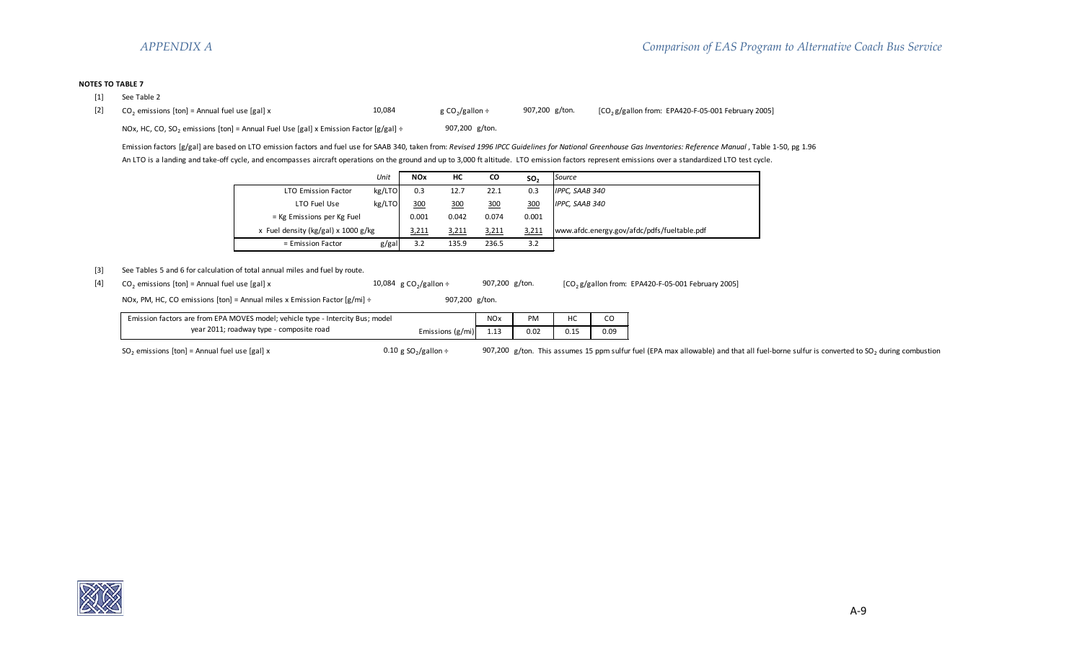## **NOTES TO TABLE 7**

- [1] See Table 2
- [2]  $CO_2$  emissions [ton] = Annual fuel use [gal] x  $10,084$  g  $CO_2/g$ allon ÷ 907,200 g/ton. [CO<sub>2</sub>g/gallon from: EPA420-F-05-001 February 2005]

NOx, HC, CO, SO<sub>2</sub> emissions [ton] = Annual Fuel Use [gal] x Emission Factor [g/gal] ÷ 907,200 g/ton.

Emission factors [g/gal] are based on LTO emission factors and fuel use for SAAB 340, taken from: *Revised 1996 IPCC Guidelines for National Greenhouse Gas Inventories: Reference Manual* , Table 1-50, pg 1.96 An LTO is a landing and take-off cycle, and encompasses aircraft operations on the ground and up to 3,000 ft altitude. LTO emission factors represent emissions over a standardized LTO test cycle.

|                                       | Unit   | <b>NOx</b> | HC    | CO    | SO <sub>2</sub> | Source                                      |
|---------------------------------------|--------|------------|-------|-------|-----------------|---------------------------------------------|
| <b>LTO Emission Factor</b>            | kg/LTO | 0.3        | 12.7  | 22.1  | 0.3             | IPPC, SAAB 340                              |
| LTO Fuel Use                          | kg/LTO | 300        | 300   | 300   | 300             | IPPC, SAAB 340                              |
| = Kg Emissions per Kg Fuel            |        | 0.001      | 0.042 | 0.074 | 0.001           |                                             |
| x Fuel density (kg/gal) x $1000$ g/kg |        | 3,211      | 3,211 | 3,211 | 3,211           | www.afdc.energy.gov/afdc/pdfs/fueltable.pdf |
| = Emission Factor                     | g/gal  | 3.2        | 135.9 | 236.5 | 3.2             |                                             |

# [3] See Tables 5 and 6 for calculation of total annual miles and fuel by route.

[4]  $CO_2$  emissions [ton] = Annual fuel use [gal] x  $10,084$  g  $CO_2/g$ allon ÷ 907,200 g/ton. [CO<sub>2</sub> g/gallon from: EPA420-F-05-001 February 2005]

NOx, PM, HC, CO emissions [ton] = Annual miles x Emission Factor [g/mi] ÷ 907,200 g/ton.

| Emission factors are from EPA MOVES model; vehicle type - Intercity Bus; model |                  | <b>NO<sub>x</sub></b> | PM   |      |
|--------------------------------------------------------------------------------|------------------|-----------------------|------|------|
| year 2011; roadway type - composite road                                       | Emissions (g/mi) | 1.13                  | 0.02 | 0.09 |

SO<sub>2</sub> emissions [ton] = Annual fuel use [gal] x  $0.10 \text{ g SO}_2\text{/gallon ÷}$  907,200 g/ton. This assumes 15 ppm sulfur fuel (EPA max allowable) and that all fuel-borne sulfur is converted to SO<sub>2</sub> during combustion

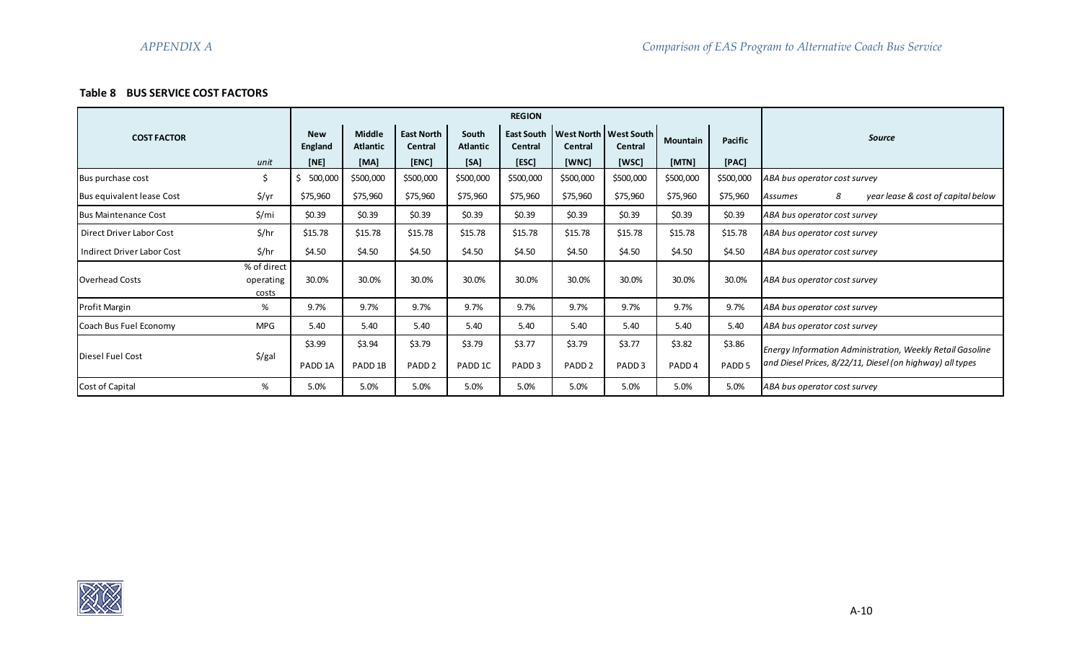# **Table 8 BUS SERVICE COST FACTORS**

|                                 |                                   |                              |                                  |                              |                          | <b>REGION</b>                       |                             |                                      |                             |                             |                                                                                                                               |
|---------------------------------|-----------------------------------|------------------------------|----------------------------------|------------------------------|--------------------------|-------------------------------------|-----------------------------|--------------------------------------|-----------------------------|-----------------------------|-------------------------------------------------------------------------------------------------------------------------------|
| <b>COST FACTOR</b>              |                                   | <b>New</b><br>England        | <b>Middle</b><br><b>Atlantic</b> | <b>East North</b><br>Central | South<br><b>Atlantic</b> | <b>East South</b><br><b>Central</b> | Central                     | West North   West South  <br>Central | <b>Mountain</b>             | Pacific                     | <b>Source</b>                                                                                                                 |
|                                 | unit                              | [NE]                         | [MA]                             | [ENC]                        | [SA]                     | [ESC]                               | [WNC]                       | [WSC]                                | [MTN]                       | [PAC]                       |                                                                                                                               |
| Bus purchase cost               | \$                                | 500,000                      | \$500,000                        | \$500,000                    | \$500,000                | \$500,000                           | \$500,000                   | \$500,000                            | \$500,000                   | \$500,000                   | ABA bus operator cost survey                                                                                                  |
| Bus equivalent lease Cost       | \$/yr                             | \$75,960                     | \$75,960                         | \$75,960                     | \$75,960                 | \$75,960                            | \$75,960                    | \$75,960                             | \$75,960                    | \$75,960                    | 8<br>year lease & cost of capital below<br>Assumes                                                                            |
| <b>Bus Maintenance Cost</b>     | \$/mi                             | \$0.39                       | \$0.39                           | \$0.39                       | \$0.39                   | \$0.39                              | \$0.39                      | \$0.39                               | \$0.39                      | \$0.39                      | ABA bus operator cost survey                                                                                                  |
| <b>Direct Driver Labor Cost</b> | \$/hr                             | \$15.78                      | \$15.78                          | \$15.78                      | \$15.78                  | \$15.78                             | \$15.78                     | \$15.78                              | \$15.78                     | \$15.78                     | ABA bus operator cost survey                                                                                                  |
| Indirect Driver Labor Cost      | \$/hr                             | \$4.50                       | \$4.50                           | \$4.50                       | \$4.50                   | \$4.50                              | \$4.50                      | \$4.50                               | \$4.50                      | \$4.50                      | ABA bus operator cost survey                                                                                                  |
| <b>Overhead Costs</b>           | % of direct<br>operating<br>costs | 30.0%                        | 30.0%                            | 30.0%                        | 30.0%                    | 30.0%                               | 30.0%                       | 30.0%                                | 30.0%                       | 30.0%                       | ABA bus operator cost survey                                                                                                  |
| Profit Margin                   | %                                 | 9.7%                         | 9.7%                             | 9.7%                         | 9.7%                     | 9.7%                                | 9.7%                        | 9.7%                                 | 9.7%                        | 9.7%                        | ABA bus operator cost survey                                                                                                  |
| Coach Bus Fuel Economy          | <b>MPG</b>                        | 5.40                         | 5.40                             | 5.40                         | 5.40                     | 5.40                                | 5.40                        | 5.40                                 | 5.40                        | 5.40                        | ABA bus operator cost survey                                                                                                  |
| <b>Diesel Fuel Cost</b>         | $\frac{1}{2}$ /gal                | \$3.99<br>PADD <sub>1A</sub> | \$3.94<br>PADD 1B                | \$3.79<br>PADD <sub>2</sub>  | \$3.79<br>PADD 1C        | \$3.77<br>PADD <sub>3</sub>         | \$3.79<br>PADD <sub>2</sub> | \$3.77<br>PADD <sub>3</sub>          | \$3.82<br>PADD <sub>4</sub> | \$3.86<br>PADD <sub>5</sub> | <b>Energy Information Administration, Weekly Retail Gasoline</b><br>and Diesel Prices, 8/22/11, Diesel (on highway) all types |
| Cost of Capital                 | %                                 | 5.0%                         | 5.0%                             | 5.0%                         | 5.0%                     | 5.0%                                | 5.0%                        | 5.0%                                 | 5.0%                        | 5.0%                        | ABA bus operator cost survey                                                                                                  |

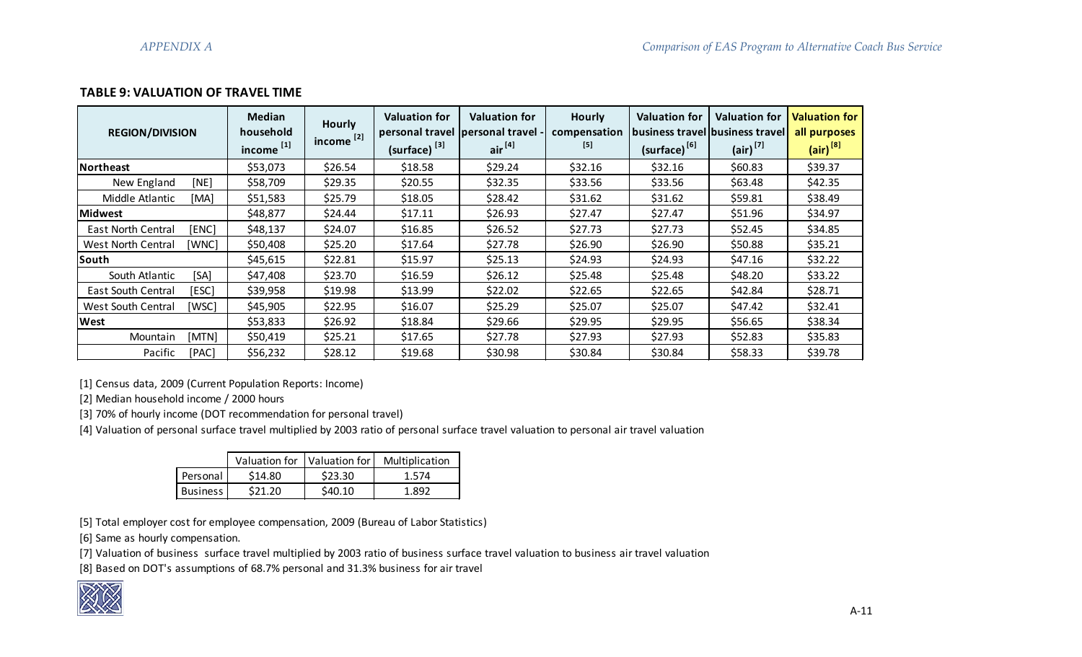# **TABLE 9: VALUATION OF TRAVEL TIME**

| <b>REGION/DIVISION</b>    |       | <b>Median</b><br>household<br>income <sup>[1]</sup> | <b>Hourly</b><br>income $^{[2]}$ . | <b>Valuation for</b><br>(surface) <sup>[3]</sup> | <b>Valuation for</b><br>personal travel personal travel -<br>air <sup>[4]</sup> | <b>Hourly</b><br>compensation<br>$[5]$ | <b>Valuation for</b><br>business travel business travel<br>(surface) <sup>[6]</sup> | <b>Valuation for</b><br>$(air)^{[7]}$ | <b>Valuation for</b><br>all purposes<br>$(air)^{8}$ |
|---------------------------|-------|-----------------------------------------------------|------------------------------------|--------------------------------------------------|---------------------------------------------------------------------------------|----------------------------------------|-------------------------------------------------------------------------------------|---------------------------------------|-----------------------------------------------------|
| Northeast                 |       | \$53,073                                            | \$26.54                            | \$18.58                                          | \$29.24                                                                         | \$32.16                                | \$32.16                                                                             | \$60.83                               | \$39.37                                             |
| New England               | [NE]  | \$58,709                                            | \$29.35                            | \$20.55                                          | \$32.35                                                                         | \$33.56                                | \$33.56                                                                             | \$63.48                               | \$42.35                                             |
| Middle Atlantic           | [MA]  | \$51,583                                            | \$25.79                            | \$18.05                                          | \$28.42                                                                         | \$31.62                                | \$31.62                                                                             | \$59.81                               | \$38.49                                             |
| lMidwest                  |       | \$48,877                                            | \$24.44                            | \$17.11                                          | \$26.93                                                                         | \$27.47                                | \$27.47                                                                             | \$51.96                               | \$34.97                                             |
| <b>East North Central</b> | [ENC] | \$48,137                                            | \$24.07                            | \$16.85                                          | \$26.52                                                                         | \$27.73                                | \$27.73                                                                             | \$52.45                               | \$34.85                                             |
| <b>West North Central</b> | [WNC] | \$50,408                                            | \$25.20                            | \$17.64                                          | \$27.78                                                                         | \$26.90                                | \$26.90                                                                             | \$50.88                               | \$35.21                                             |
| South                     |       | \$45,615                                            | \$22.81                            | \$15.97                                          | \$25.13                                                                         | \$24.93                                | \$24.93                                                                             | \$47.16                               | \$32.22                                             |
| South Atlantic            | [SA]  | \$47,408                                            | \$23.70                            | \$16.59                                          | \$26.12                                                                         | \$25.48                                | \$25.48                                                                             | \$48.20                               | \$33.22                                             |
| <b>East South Central</b> | [ESC] | \$39,958                                            | \$19.98                            | \$13.99                                          | \$22.02                                                                         | \$22.65                                | \$22.65                                                                             | \$42.84                               | \$28.71                                             |
| <b>West South Central</b> | [WSC] | \$45,905                                            | \$22.95                            | \$16.07                                          | \$25.29                                                                         | \$25.07                                | \$25.07                                                                             | \$47.42                               | \$32.41                                             |
| lWest                     |       | \$53,833                                            | \$26.92                            | \$18.84                                          | \$29.66                                                                         | \$29.95                                | \$29.95                                                                             | \$56.65                               | \$38.34                                             |
| Mountain                  | [MTN] | \$50,419                                            | \$25.21                            | \$17.65                                          | \$27.78                                                                         | \$27.93                                | \$27.93                                                                             | \$52.83                               | \$35.83                                             |
| Pacific                   | [PAC] | \$56,232                                            | \$28.12                            | \$19.68                                          | \$30.98                                                                         | \$30.84                                | \$30.84                                                                             | \$58.33                               | \$39.78                                             |

[1] Census data, 2009 (Current Population Reports: Income)

[2] Median household income / 2000 hours

[3] 70% of hourly income (DOT recommendation for personal travel)

[4] Valuation of personal surface travel multiplied by 2003 ratio of personal surface travel valuation to personal air travel valuation

|                 |         |        | Valuation for   Valuation for   Multiplication |
|-----------------|---------|--------|------------------------------------------------|
| Personal        | \$14.80 | S23.30 | 1.574                                          |
| <b>Business</b> | S21 20  | S40.10 | 1 897                                          |

[5] Total employer cost for employee compensation, 2009 (Bureau of Labor Statistics)

[6] Same as hourly compensation.

[7] Valuation of business surface travel multiplied by 2003 ratio of business surface travel valuation to business air travel valuation

[8] Based on DOT's assumptions of 68.7% personal and 31.3% business for air travel

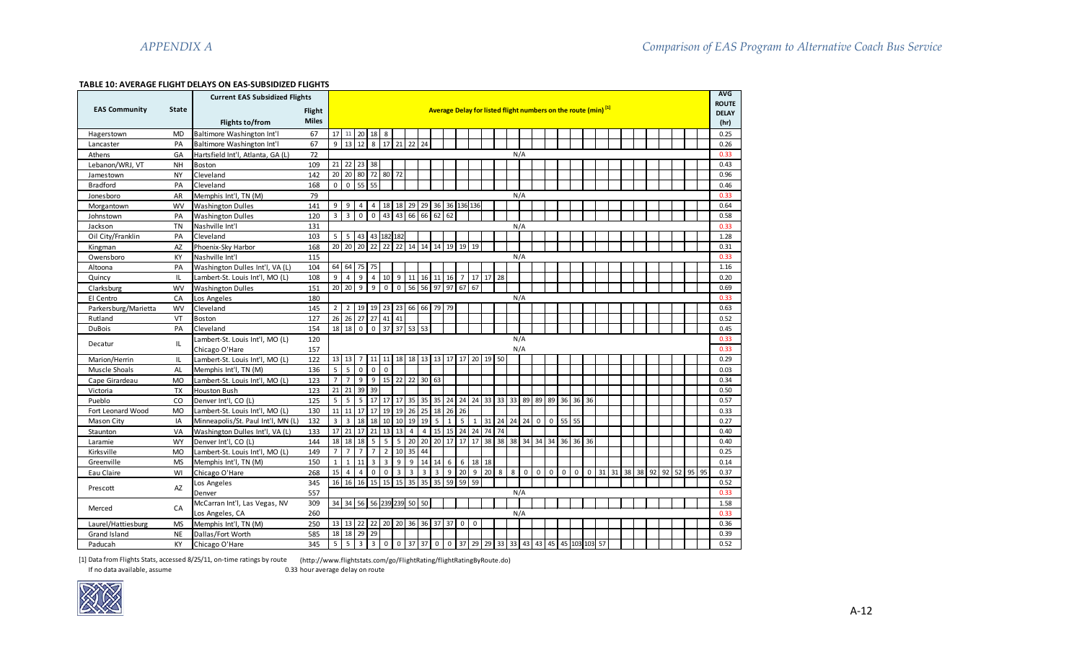# **TABLE 10: AVERAGE FLIGHT DELAYS ON EAS-SUBSIDIZED FLIGHTS**

|                      |              | <b>Current EAS Subsidized Flights</b> |               |                                                                           |                        |                   |                |                         |                                            |                         |                         |                |                     |                 |                              |                   |    |   |             |                |                                         |    |       |             |    |                |  |    |    |    | <b>AVG</b> |
|----------------------|--------------|---------------------------------------|---------------|---------------------------------------------------------------------------|------------------------|-------------------|----------------|-------------------------|--------------------------------------------|-------------------------|-------------------------|----------------|---------------------|-----------------|------------------------------|-------------------|----|---|-------------|----------------|-----------------------------------------|----|-------|-------------|----|----------------|--|----|----|----|------------|
| <b>EAS Community</b> | <b>State</b> |                                       | <b>Flight</b> | Average Delay for listed flight numbers on the route (min) <sup>[1]</sup> |                        |                   |                |                         |                                            |                         |                         |                |                     |                 | <b>ROUTE</b><br><b>DELAY</b> |                   |    |   |             |                |                                         |    |       |             |    |                |  |    |    |    |            |
|                      |              | <b>Flights to/from</b>                | <b>Miles</b>  |                                                                           |                        |                   |                |                         |                                            |                         |                         |                |                     |                 |                              |                   |    |   |             |                |                                         |    |       |             |    |                |  |    |    |    | (hr)       |
| Hagerstown           | <b>MD</b>    | Baltimore Washington Int'l            | 67            | 17 <sup>1</sup>                                                           |                        | 11 20 18 8        |                |                         |                                            |                         |                         |                |                     |                 |                              |                   |    |   |             |                |                                         |    |       |             |    |                |  |    |    |    | 0.25       |
| Lancaster            | PA           | Baltimore Washington Int'l            | 67            | 9                                                                         |                        | 13 12 8 17 21 22  |                |                         |                                            |                         | 24                      |                |                     |                 |                              |                   |    |   |             |                |                                         |    |       |             |    |                |  |    |    |    | 0.26       |
| Athens               | GA           | Hartsfield Int'l, Atlanta, GA (L)     | 72            |                                                                           |                        |                   |                |                         |                                            |                         |                         |                |                     |                 |                              |                   |    |   | N/A         |                |                                         |    |       |             |    |                |  |    |    |    | 0.33       |
| Lebanon/WRJ, VT      | <b>NH</b>    | <b>Boston</b>                         | 109           |                                                                           | 21 22 23 38            |                   |                |                         |                                            |                         |                         |                |                     |                 |                              |                   |    |   |             |                |                                         |    |       |             |    |                |  |    |    |    | 0.43       |
| Jamestown            | <b>NY</b>    | Cleveland                             | 142           | 20 <sup>°</sup>                                                           | 20                     | 80 72 80 72       |                |                         |                                            |                         |                         |                |                     |                 |                              |                   |    |   |             |                |                                         |    |       |             |    |                |  |    |    |    | 0.96       |
| <b>Bradford</b>      | PA           | Cleveland                             | 168           | $\mathsf 0$                                                               | $\mathbf{0}$           | 55 55             |                |                         |                                            |                         |                         |                |                     |                 |                              |                   |    |   |             |                |                                         |    |       |             |    |                |  |    |    |    | 0.46       |
| Jonesboro            | AR           | Memphis Int'l, TN (M)                 | 79            |                                                                           |                        |                   |                |                         |                                            |                         |                         |                |                     |                 |                              |                   |    |   | N/A         |                |                                         |    |       |             |    |                |  |    |    |    | 0.33       |
| Morgantown           | <b>WV</b>    | <b>Washington Dulles</b>              | 141           | 9                                                                         | 9                      | 4                 | $4 \mid$       |                         | 18 18                                      |                         |                         |                | 29 29 36 36 136 136 |                 |                              |                   |    |   |             |                |                                         |    |       |             |    |                |  |    |    |    | 0.64       |
| Johnstown            | PA           | <b>Washington Dulles</b>              | 120           | $\overline{3}$                                                            | $\overline{3}$         | $\overline{0}$    | $\overline{0}$ | 43                      | 43                                         | 66                      | 66                      | 62             | 62                  |                 |                              |                   |    |   |             |                |                                         |    |       |             |    |                |  |    |    |    | 0.58       |
| Jackson              | <b>TN</b>    | Nashville Int'l                       | 131           |                                                                           |                        |                   |                |                         |                                            |                         |                         |                |                     |                 |                              |                   |    |   | N/A         |                |                                         |    |       |             |    |                |  |    |    |    | 0.33       |
| Oil City/Franklin    | PA           | Cleveland                             | 103           | 5 <sub>1</sub>                                                            |                        | 5 43 43 182 182   |                |                         |                                            |                         |                         |                |                     |                 |                              |                   |    |   |             |                |                                         |    |       |             |    |                |  |    |    |    | 1.28       |
| Kingman              | AZ           | Phoenix-Sky Harbor                    | 168           | 20                                                                        |                        | 20 20             |                | $22$ 22                 | 22                                         | 14                      | 14                      | 14             | 19                  | 19              | 19                           |                   |    |   |             |                |                                         |    |       |             |    |                |  |    |    |    | 0.31       |
| Owensboro            | KY           | Nashville Int'l                       | 115           |                                                                           |                        |                   |                |                         |                                            |                         |                         |                |                     |                 |                              |                   |    |   | N/A         |                |                                         |    |       |             |    |                |  |    |    |    | 0.33       |
| Altoona              | PA           | Washington Dulles Int'l, VA (L)       | 104           |                                                                           | 64 64                  | 75 75             |                |                         |                                            |                         |                         |                |                     |                 |                              |                   |    |   |             |                |                                         |    |       |             |    |                |  |    |    |    | 1.16       |
| Quincy               | IL.          | Lambert-St. Louis Int'l, MO (L)       | 108           | 9                                                                         | $\overline{4}$         | 9                 | 4              | 10 9                    |                                            | 11                      |                         |                | 16 11 16            | $\overline{7}$  |                              | 17 17 28          |    |   |             |                |                                         |    |       |             |    |                |  |    |    |    | 0.20       |
| <b>Clarksburg</b>    | <b>WV</b>    | <b>Washington Dulles</b>              | 151           | 20                                                                        | 20                     | 9                 | 9              | $\mathbf{0}$            | $\mathbf 0$                                | 56                      | 56                      | 97             | 97                  | 67              | 67                           |                   |    |   |             |                |                                         |    |       |             |    |                |  |    |    |    | 0.69       |
| El Centro            | CA           | Los Angeles                           | 180           |                                                                           |                        |                   |                |                         |                                            |                         |                         |                |                     |                 |                              |                   |    |   | N/A         |                |                                         |    |       |             |    |                |  |    |    |    | 0.33       |
| Parkersburg/Marietta | <b>WV</b>    | Cleveland                             | 145           | 2 <sup>1</sup>                                                            | $\overline{2}$         | 19 19 23 23       |                |                         |                                            | 66 66 79                |                         |                | 79                  |                 |                              |                   |    |   |             |                |                                         |    |       |             |    |                |  |    |    |    | 0.63       |
| Rutland              | VT           | <b>Boston</b>                         | 127           | 26                                                                        |                        | 26 27 27 41 41    |                |                         |                                            |                         |                         |                |                     |                 |                              |                   |    |   |             |                |                                         |    |       |             |    |                |  |    |    |    | 0.52       |
| <b>DuBois</b>        | PA           | Cleveland                             | 154           | $18\,$                                                                    | $18$                   |                   |                |                         | $0 \t 0 \t 37 \t 37$                       | 53                      | 53                      |                |                     |                 |                              |                   |    |   |             |                |                                         |    |       |             |    |                |  |    |    |    | 0.45       |
| Decatur              | IL           | Lambert-St. Louis Int'l, MO (L)       | 120           |                                                                           |                        |                   |                |                         |                                            |                         |                         |                |                     |                 |                              |                   |    |   | N/A         |                |                                         |    |       |             |    |                |  |    |    |    | 0.33       |
|                      |              | Chicago O'Hare                        | 157           |                                                                           |                        |                   |                |                         |                                            |                         |                         |                |                     |                 |                              |                   |    |   | N/A         |                |                                         |    |       |             |    |                |  |    |    |    | 0.33       |
| Marion/Herrin        | IL           | Lambert-St. Louis Int'l, MO (L)       | 122           |                                                                           | 13 13                  |                   | $7 \mid 11$    | 11                      |                                            | 18 18 13 13 17 17       |                         |                |                     |                 | 20                           | 19 50             |    |   |             |                |                                         |    |       |             |    |                |  |    |    |    | 0.29       |
| Muscle Shoals        | <b>AL</b>    | Memphis Int'l, TN (M)                 | 136           | $5^{\circ}$                                                               | 5                      | $\mathbf 0$       | $\mathbf{0}$   | $\mathbf 0$             |                                            |                         |                         |                |                     |                 |                              |                   |    |   |             |                |                                         |    |       |             |    |                |  |    |    |    | 0.03       |
| Cape Girardeau       | <b>MO</b>    | Lambert-St. Louis Int'l, MO (L)       | 123           | $7\overline{ }$                                                           | $\overline{7}$         |                   |                |                         | $9 \mid 9 \mid 15 \mid 22 \mid 22 \mid 30$ |                         |                         | 63             |                     |                 |                              |                   |    |   |             |                |                                         |    |       |             |    |                |  |    |    |    | 0.34       |
| Victoria             | <b>TX</b>    | <b>Houston Bush</b>                   | 123           | $\overline{21}$                                                           | 21                     | 39                | 39             |                         |                                            |                         |                         |                |                     |                 |                              |                   |    |   |             |                |                                         |    |       |             |    |                |  |    |    |    | 0.50       |
| Pueblo               | CO           | Denver Int'l, CO (L)                  | 125           | $5\overline{5}$                                                           | 5                      | 5 <sup>1</sup>    | 17             |                         | 17 17                                      | 35 35                   |                         |                |                     |                 |                              | 35 24 24 24 33 33 |    |   |             |                | 33 89 89 89 36 36 36                    |    |       |             |    |                |  |    |    |    | 0.57       |
| Fort Leonard Wood    | <b>MO</b>    | Lambert-St. Louis Int'l, MO (L)       | 130           | 11                                                                        | 11                     | $17 \mid 17 \mid$ |                |                         | 19 19                                      | 26                      | 25                      |                | 18 26 26            |                 |                              |                   |    |   |             |                |                                         |    |       |             |    |                |  |    |    |    | 0.33       |
| <b>Mason City</b>    | IA           | Minneapolis/St. Paul Int'l, MN (L)    | 132           | $\overline{\mathbf{3}}$                                                   | $\overline{3}$         | 18                | 18             | 10                      | 10                                         | 19                      | 19                      | 5              | 1                   | $5\overline{)}$ | $\mathbf{1}$                 | 31 24 24 24       |    |   |             | 0              | $\overline{0}$                          | 55 | 55    |             |    |                |  |    |    |    | 0.27       |
| Staunton             | VA           | Washington Dulles Int'l, VA (L)       | 133           | 17                                                                        | 21                     | 17 <sup>1</sup>   | 21             | 13                      | 13                                         | $\overline{4}$          | $\vert$ 4               |                |                     |                 |                              | 15 15 24 24 74    | 74 |   |             |                |                                         |    |       |             |    |                |  |    |    |    | 0.40       |
| Laramie              | <b>WY</b>    | Denver Int'l, CO (L)                  | 144           | 18                                                                        |                        | 18 18             |                | $5 \mid 5 \mid 5$       |                                            | 20 20 20 17 17 17 38    |                         |                |                     |                 |                              |                   |    |   |             |                | 38 38 34 34 34 36 36                    |    |       | 36          |    |                |  |    |    |    | 0.40       |
| Kirksville           | <b>MO</b>    | Lambert-St. Louis Int'l, MO (L)       | 149           | $\overline{7}$                                                            | $\overline{7}$         | $\overline{7}$    | $\overline{7}$ | $\overline{2}$          | 10                                         | 35                      | 44                      |                |                     |                 |                              |                   |    |   |             |                |                                         |    |       |             |    |                |  |    |    |    | 0.25       |
| Greenville           | <b>MS</b>    | Memphis Int'l, TN (M)                 | 150           | $\overline{1}$                                                            | 1                      | 11                | $\overline{3}$ | $\overline{\mathbf{3}}$ | 9                                          | 9                       |                         | $14 \mid 14$   | 6                   | 6               |                              | 18 18             |    |   |             |                |                                         |    |       |             |    |                |  |    |    |    | 0.14       |
| Eau Claire           | WI           | Chicago O'Hare                        | 268           | 15                                                                        | $\overline{4}$         | $\overline{4}$    |                | $0$ 0                   | $\overline{\mathbf{3}}$                    | $\overline{\mathbf{3}}$ | $\overline{\mathbf{3}}$ | $\overline{3}$ |                     | $9 \mid 20$     |                              | $9 \mid 20$       | 8  | 8 | $\mathbf 0$ | $\overline{0}$ | $\mathbf{0}$                            |    | $0$ 0 | $\mathbf 0$ | 31 | 31 38 38 92 92 |  | 52 | 95 | 95 | 0.37       |
| Prescott             | AZ           | Los Angeles                           | 345           | 16                                                                        | 16                     | 16                | 15             | 15                      | 15                                         | 35                      | 35                      | 35             | 59                  | 59              | 59                           |                   |    |   |             |                |                                         |    |       |             |    |                |  |    |    |    | 0.52       |
|                      |              | Denver                                | 557           |                                                                           |                        |                   |                |                         |                                            |                         |                         |                |                     |                 |                              |                   |    |   | N/A         |                |                                         |    |       |             |    |                |  |    |    |    | 0.33       |
| Merced               | CA           | McCarran Int'l, Las Vegas, NV         | 309           |                                                                           | 34 34 56 56 239 239 50 |                   |                |                         |                                            |                         | 50                      |                |                     |                 |                              |                   |    |   |             |                |                                         |    |       |             |    |                |  |    |    |    | 1.58       |
|                      |              | Los Angeles, CA                       | 260           |                                                                           |                        |                   |                |                         |                                            |                         |                         |                |                     |                 |                              |                   |    |   | N/A         |                |                                         |    |       |             |    |                |  |    |    |    | 0.33       |
| Laurel/Hattiesburg   | <b>MS</b>    | Memphis Int'l, TN (M)                 | 250           |                                                                           | 13 13 22 22            |                   |                |                         | 20 20 36 36 37                             |                         |                         |                | 37                  | $\mathbf{0}$    | $\mathbf 0$                  |                   |    |   |             |                |                                         |    |       |             |    |                |  |    |    |    | 0.36       |
| Grand Island         | <b>NE</b>    | Dallas/Fort Worth                     | 585           | 18                                                                        | 18                     | 29 29             |                |                         |                                            |                         |                         |                |                     |                 |                              |                   |    |   |             |                |                                         |    |       |             |    |                |  |    |    |    | 0.39       |
| Paducah              | КY           | Chicago O'Hare                        | 345           | 5                                                                         | 5                      | 3 <sup>1</sup>    | 3 <sup>1</sup> | $\overline{0}$          | $\pmb{0}$                                  | 37                      | 37                      | $\mathbf{0}$   |                     |                 |                              |                   |    |   |             |                | 0 37 29 29 33 33 43 43 45 45 103 103 57 |    |       |             |    |                |  |    |    |    | 0.52       |

[1] Data from Flights Stats, accessed 8/25/11, on-time ratings by route (http://www.flightstats.com/go/FlightRating/flightRatingByRoute.do)

0.33 hour average delay on route

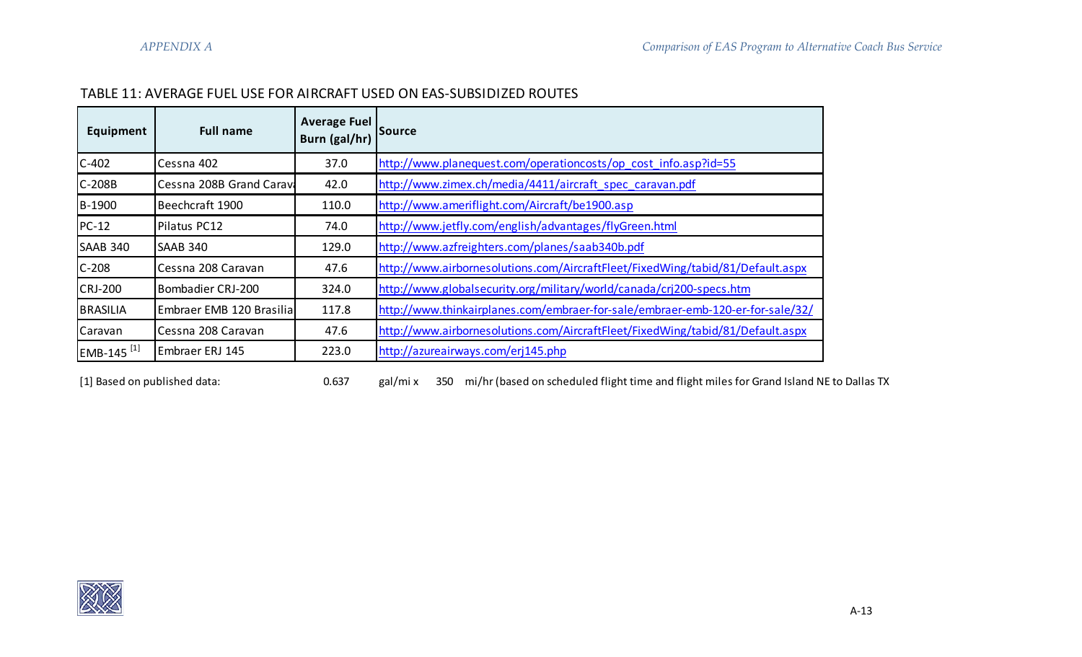# TABLE 11: AVERAGE FUEL USE FOR AIRCRAFT USED ON EAS-SUBSIDIZED ROUTES

| <b>Full name</b><br>Equipment        |                          | <b>Average Fuel</b><br>Burn (gal/hr) | Source                                                                         |  |  |  |  |  |  |  |  |
|--------------------------------------|--------------------------|--------------------------------------|--------------------------------------------------------------------------------|--|--|--|--|--|--|--|--|
| $C-402$                              | Cessna 402               |                                      | http://www.planequest.com/operationcosts/op cost info.asp?id=55                |  |  |  |  |  |  |  |  |
| Cessna 208B Grand Carava<br>$C-208B$ |                          | 42.0                                 | http://www.zimex.ch/media/4411/aircraft spec caravan.pdf                       |  |  |  |  |  |  |  |  |
| B-1900                               | Beechcraft 1900          | 110.0                                | http://www.ameriflight.com/Aircraft/be1900.asp                                 |  |  |  |  |  |  |  |  |
| $PC-12$                              | Pilatus PC12             | 74.0                                 | http://www.jetfly.com/english/advantages/flyGreen.html                         |  |  |  |  |  |  |  |  |
| <b>SAAB 340</b>                      | <b>SAAB 340</b>          | 129.0                                | http://www.azfreighters.com/planes/saab340b.pdf                                |  |  |  |  |  |  |  |  |
| $C-208$                              | Cessna 208 Caravan       | 47.6                                 | http://www.airbornesolutions.com/AircraftFleet/FixedWing/tabid/81/Default.aspx |  |  |  |  |  |  |  |  |
| <b>CRJ-200</b>                       | Bombadier CRJ-200        | 324.0                                | http://www.globalsecurity.org/military/world/canada/crj200-specs.htm           |  |  |  |  |  |  |  |  |
| <b>BRASILIA</b>                      | Embraer EMB 120 Brasilia | 117.8                                | http://www.thinkairplanes.com/embraer-for-sale/embraer-emb-120-er-for-sale/32/ |  |  |  |  |  |  |  |  |
| Caravan                              | Cessna 208 Caravan       | 47.6                                 | http://www.airbornesolutions.com/AircraftFleet/FixedWing/tabid/81/Default.aspx |  |  |  |  |  |  |  |  |
| EMB-145 <sup>[1]</sup>               | Embraer ERJ 145          | 223.0                                | http://azureairways.com/erj145.php                                             |  |  |  |  |  |  |  |  |

[1] Based on published data: <br>
0.637 gal/mi x 350 mi/hr (based on scheduled flight time and flight miles for Grand Island NE to Dallas TX